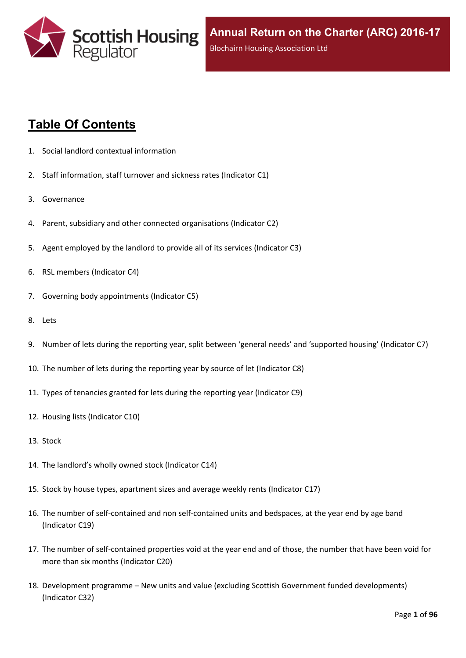

# **Table Of Contents**

- 1. Social landlord contextual [information](#page-5-0)
- 2. Staff [information,](#page-6-0) staff turnover and sickness rates (Indicator C1)
- 3. [Governance](#page-8-0)
- 4. Parent, subsidiary and other connected [organisations](#page-9-0) (Indicator C2)
- 5. Agent [employed](#page-10-0) by the landlord to provide all of its services (Indicator C3)
- 6. RSL members [\(Indicator](#page-11-0) C4)
- 7. Governing body [appointments](#page-12-0) (Indicator C5)
- 8. [Lets](#page-13-0)
- 9. Number of lets during the reporting year, split between 'general needs' and ['supported](#page-14-0) housing' (Indicator C7)
- 10. The number of lets during the reporting year by source of let [\(Indicator](#page-15-0) C8)
- 11. Types of tenancies granted for lets during the reporting year [\(Indicator](#page-16-0) C9)
- 12. Housing lists [\(Indicator](#page-17-0) C10)
- 13. [Stock](#page-18-0)
- 14. The [landlord's](#page-19-0) wholly owned stock (Indicator C14)
- 15. Stock by house types, [apartment](#page-20-0) sizes and average weekly rents (Indicator C17)
- 16. The number of self-contained and non [self-contained](#page-21-0) units and bedspaces, at the year end by age band [\(Indicator](#page-21-0) C19)
- 17. The number of [self-contained](#page-22-0) properties void at the year end and of those, the number that have been void for more than six months [\(Indicator](#page-22-0) C20)
- 18. [Development](#page-23-0) programme [–](#page-23-0) New units and value (excluding Scottish Government funded [developments\)](#page-23-0) [\(Indicator](#page-23-0) C32)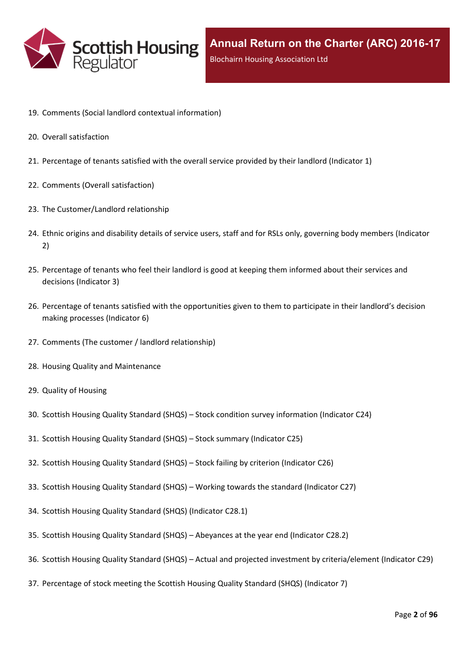

- 19. Comments (Social landlord contextual [information\)](#page-25-0)
- 20. Overall [satisfaction](#page-26-0)
- 21. [Percentage](#page-27-0) of tenants satisfied with the overall service provided by their landlord (Indicator 1)
- 22. Comments (Overall [satisfaction\)](#page-29-0)
- 23. The [Customer/Landlord](#page-30-0) relationship
- 24. Ethnic origins and disability details of service users, staff and for RSLs only, [governing](#page-31-0) body members (Indicator [2\)](#page-31-0)
- 25. [Percentage](#page-33-0) of tenants who feel their landlord is good at keeping them informed about their services and [decisions](#page-33-0) [\(Indicator](#page-33-0) 3)
- 26. Percentage of tenants satisfied with the [opportunities](#page-34-0) given to them to participate in their landlord's decision making [processes](#page-34-0) (Indicator 6)
- 27. Comments (The customer / landlord [relationship\)](#page-35-0)
- 28. Housing Quality and [Maintenance](#page-36-0)
- 29. Quality of [Housing](#page-37-0)
- 30. Scottish Housing Quality [Standard](#page-38-0) (SHQS) [–](#page-38-0) Stock condition survey [information](#page-38-0) (Indicator C24)
- 31. Scottish Housing Quality [Standard](#page-39-0) (SHQS) [–](#page-39-0) Stock summary [\(Indicator](#page-39-0) C25)
- 32. Scottish Housing Quality [Standard](#page-41-0) (SHQS) [–](#page-41-0) Stock failing by criterion [\(Indicator](#page-41-0) C26)
- 33. Scottish Housing Quality [Standard](#page-42-0) (SHQS) [–](#page-42-0) Working towards the standard [\(Indicator](#page-42-0) C27)
- 34. Scottish Housing Quality Standard (SHQS) [\(Indicator](#page-43-0) C28.1)
- 35. Scottish Housing Quality [Standard](#page-44-0) (SHQS) [–](#page-44-0) [Abeyances](#page-44-0) at the year end (Indicator C28.2)
- 36. Scottish Housing Quality [Standard](#page-45-0) (SHQS) [–](#page-45-0) Actual and projected investment by [criteria/element](#page-45-0) (Indicator C29)
- 37. [Percentage](#page-46-0) of stock meeting the Scottish Housing Quality Standard (SHQS) (Indicator 7)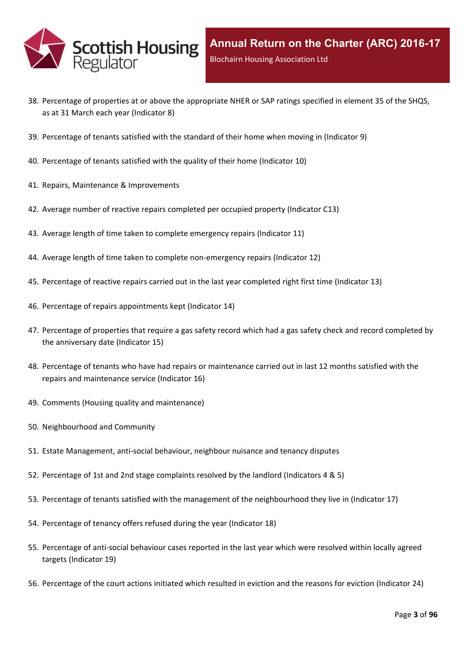

- 38. Percentage of properties at or above the [appropriate](#page-47-0) NHER or SAP ratings specified in element 35 of the SHQS, as at 31 March each year [\(Indicator](#page-47-0) 8)
- 39. [Percentage](#page-48-0) of tenants satisfied with the standard of their home when moving in (Indicator 9)
- 40. [Percentage](#page-49-0) of tenants satisfied with the quality of their home (Indicator 10)
- 41. Repairs, Maintenance & [Improvements](#page-50-0)
- 42. Average number of reactive repairs [completed](#page-51-0) per occupied property (Indicator C13)
- 43. Average length of time taken to complete [emergency](#page-52-0) repairs (Indicator 11)
- 44. Average length of time taken to complete [non-emergency](#page-53-0) repairs (Indicator 12)
- 45. [Percentage](#page-54-0) of reactive repairs carried out in the last year completed right first time (Indicator 13)
- 46. Percentage of repairs [appointments](#page-55-0) kept (Indicator 14)
- 47. [Percentage](#page-56-0) of properties that require a gas safety record which had a gas safety check and record completed by the [anniversary](#page-56-0) date (Indicator 15)
- 48. Percentage of tenants who have had repairs or [maintenance](#page-57-0) carried out in last 12 months satisfied with the repairs and [maintenance](#page-57-0) service (Indicator 16)
- 49. Comments (Housing quality and [maintenance\)](#page-58-0)
- 50. [Neighbourhood](#page-59-0) and Community
- 51. Estate [Management,](#page-60-0) anti-social behaviour, neighbour nuisance and tenancy disputes
- 52. [Percentage](#page-61-0) of 1st and 2nd stage complaints resolved by the landlord (Indicators 4 & 5)
- 53. Percentage of tenants satisfied with the management of the [neighbourhood](#page-64-0) they live in (Indicator 17)
- 54. [Percentage](#page-65-0) of tenancy offers refused during the year (Indicator 18)
- 55. [Percentage](#page-66-0) of anti-social behaviour cases reported in the last year which were resolved within locally agreed targets [\(Indicator](#page-66-0) 19)
- 56. [Percentage](#page-67-0) of the court actions initiated which resulted in eviction and the reasons for eviction (Indicator 24)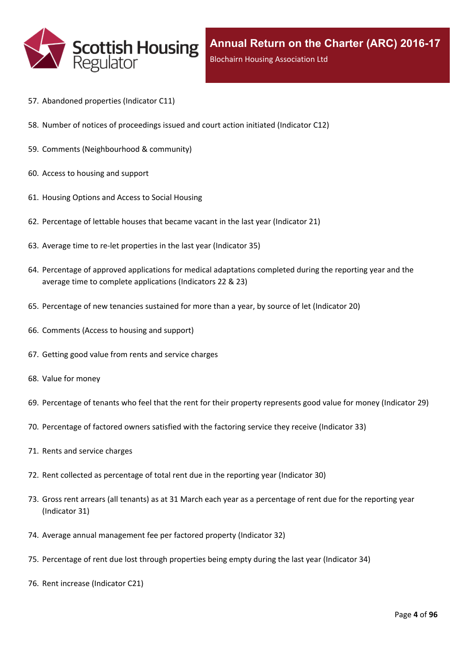

- 57. [Abandoned](#page-68-0) properties (Indicator C11)
- 58. Number of notices of [proceedings](#page-69-0) issued and court action initiated (Indicator C12)
- 59. Comments [\(Neighbourhood](#page-70-0) & community)
- 60. Access to [housing](#page-71-0) and support
- 61. [Housing](#page-72-0) Options and Access to Social Housing
- 62. [Percentage](#page-73-0) of lettable houses that became vacant in the last year (Indicator 21)
- 63. Average time to re-let [properties](#page-74-0) in the last year (Indicator 35)
- 64. Percentage of approved [applications](#page-75-0) for medical adaptations completed during the reporting year and the average time to complete [applications](#page-75-0) (Indicators 22 & 23)
- 65. [Percentage](#page-76-0) of new tenancies sustained for more than a year, by source of let (Indicator 20)
- 66. [Comments](#page-78-0) (Access to housing and support)
- 67. Getting good value from rents and service [charges](#page-79-0)
- 68. Value for [money](#page-80-0)
- 69. [Percentage](#page-81-0) of tenants who feel that the rent for their property represents good value for money (Indicator 29)
- 70. [Percentage](#page-82-0) of factored owners satisfied with the factoring service they receive (Indicator 33)
- 71. Rents and service [charges](#page-83-0)
- 72. Rent collected as [percentage](#page-84-0) of total rent due in the reporting year (Indicator 30)
- 73. Gross rent arrears (all tenants) as at 31 March each year as a [percentage](#page-85-0) of rent due for the reporting year [\(Indicator](#page-85-0) 31)
- 74. Average annual [management](#page-86-0) fee per factored property (Indicator 32)
- 75. [Percentage](#page-87-0) of rent due lost through properties being empty during the last year (Indicator 34)
- 76. Rent increase [\(Indicator](#page-88-0) C21)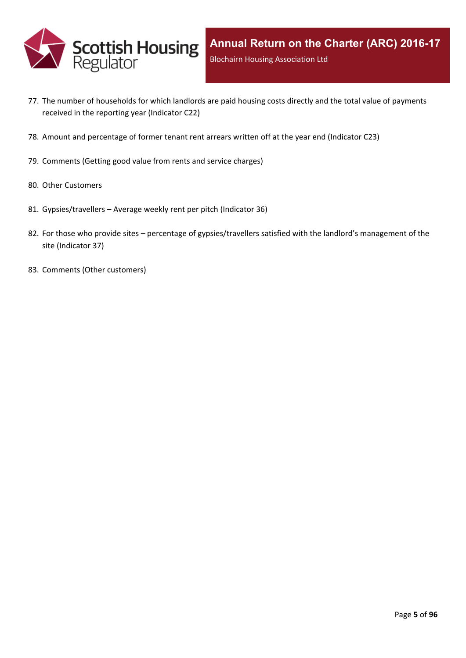

- 77. The number of [households](#page-89-0) for which landlords are paid housing costs directly and the total value of payments received in the reporting year [\(Indicator](#page-89-0) C22)
- 78. Amount and [percentage](#page-90-0) of former tenant rent arrears written off at the year end (Indicator C23)
- 79. [Comments](#page-91-0) (Getting good value from rents and service charges)
- 80. Other [Customers](#page-92-0)
- 81. [Gypsies/travellers](#page-93-0) [–](#page-93-0) Average weekly rent per pitch [\(Indicator](#page-93-0) 36)
- 82. For those who [provide](#page-94-0) sites [–](#page-94-0) percentage of [gypsies/travellers](#page-94-0) satisfied with the landlord's management of the site [\(Indicator](#page-94-0) 37)
- 83. Comments (Other [customers\)](#page-95-0)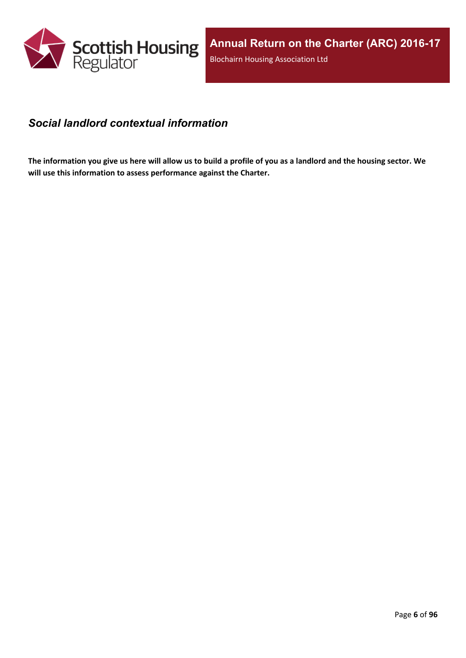

#### <span id="page-5-0"></span>*Social landlord contextual information*

The information you give us here will allow us to build a profile of you as a landlord and the housing sector. We **will use this information to assess performance against the Charter.**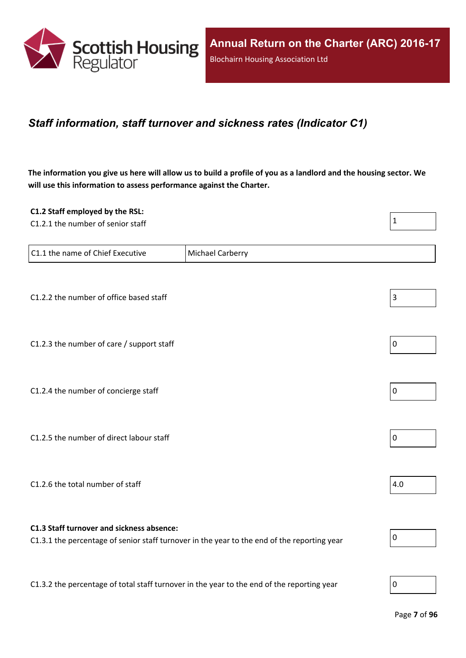

#### <span id="page-6-0"></span>*Staff information, staff turnover and sickness rates (Indicator C1)*

The information you give us here will allow us to build a profile of you as a landlord and the housing sector. We **will use this information to assess performance against the Charter.**

| C1.2 Staff employed by the RSL:                                                            |                                                                                             |                |
|--------------------------------------------------------------------------------------------|---------------------------------------------------------------------------------------------|----------------|
| C1.2.1 the number of senior staff                                                          |                                                                                             | $\mathbf{1}$   |
|                                                                                            |                                                                                             |                |
| C1.1 the name of Chief Executive                                                           | Michael Carberry                                                                            |                |
|                                                                                            |                                                                                             |                |
|                                                                                            |                                                                                             |                |
| C1.2.2 the number of office based staff                                                    |                                                                                             | $\mathsf 3$    |
|                                                                                            |                                                                                             |                |
|                                                                                            |                                                                                             |                |
| C1.2.3 the number of care / support staff                                                  |                                                                                             | $\overline{0}$ |
|                                                                                            |                                                                                             |                |
| C1.2.4 the number of concierge staff                                                       |                                                                                             | $\overline{0}$ |
|                                                                                            |                                                                                             |                |
|                                                                                            |                                                                                             |                |
| C1.2.5 the number of direct labour staff                                                   |                                                                                             | $\overline{0}$ |
|                                                                                            |                                                                                             |                |
|                                                                                            |                                                                                             |                |
| C1.2.6 the total number of staff                                                           |                                                                                             | 4.0            |
|                                                                                            |                                                                                             |                |
|                                                                                            |                                                                                             |                |
| C1.3 Staff turnover and sickness absence:                                                  | C1.3.1 the percentage of senior staff turnover in the year to the end of the reporting year | $\pmb{0}$      |
|                                                                                            |                                                                                             |                |
|                                                                                            |                                                                                             |                |
| C1.3.2 the percentage of total staff turnover in the year to the end of the reporting year |                                                                                             | 0              |
|                                                                                            |                                                                                             |                |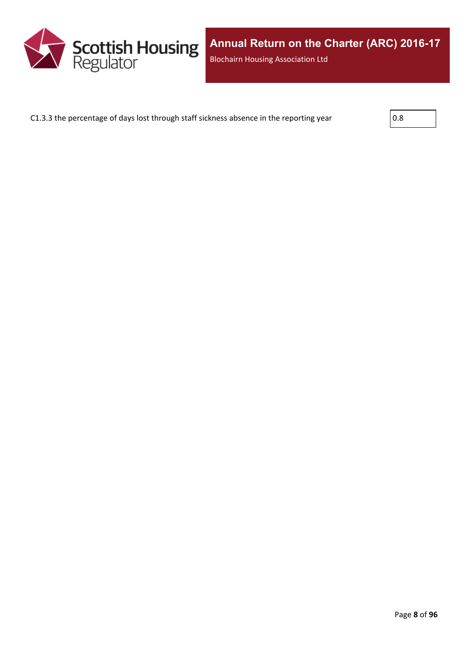

C1.3.3 the percentage of days lost through staff sickness absence in the reporting year  $\vert$  0.8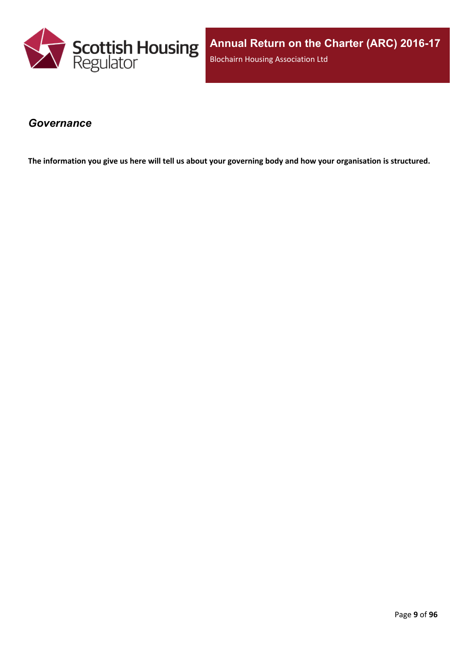

**Annual Return on the Charter (ARC) 2016-17** Blochairn Housing Association Ltd

#### <span id="page-8-0"></span>*Governance*

The information you give us here will tell us about your governing body and how your organisation is structured.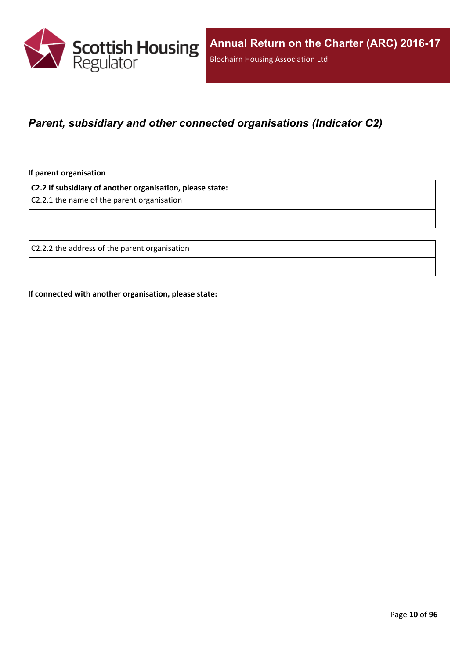

### <span id="page-9-0"></span>*Parent, subsidiary and other connected organisations (Indicator C2)*

**If parent organisation**

**C2.2 If subsidiary of another organisation, please state:**

C2.2.1 the name of the parent organisation

C2.2.2 the address of the parent organisation

**If connected with another organisation, please state:**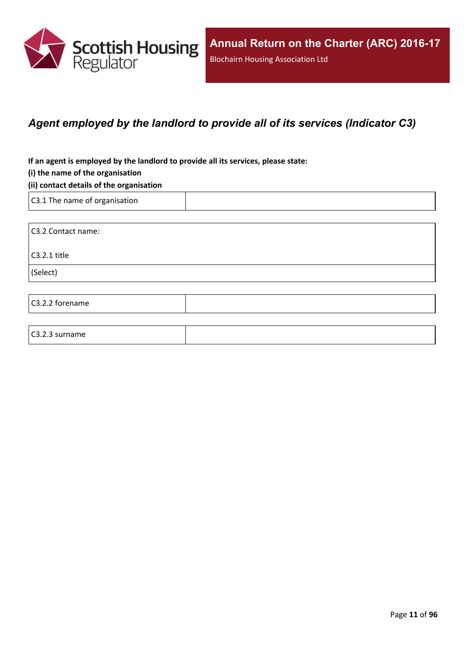

### <span id="page-10-0"></span>*Agent employed by the landlord to provide all of its services (Indicator C3)*

**If an agent is employed by the landlord to provide all its services, please state:**

#### **(i) the name of the organisation**

#### **(ii) contact details of the organisation**

C3.1 The name of organisation

C3.2.3 surname

C3.2 Contact name: C3.2.1 title (Select) C3.2.2 forename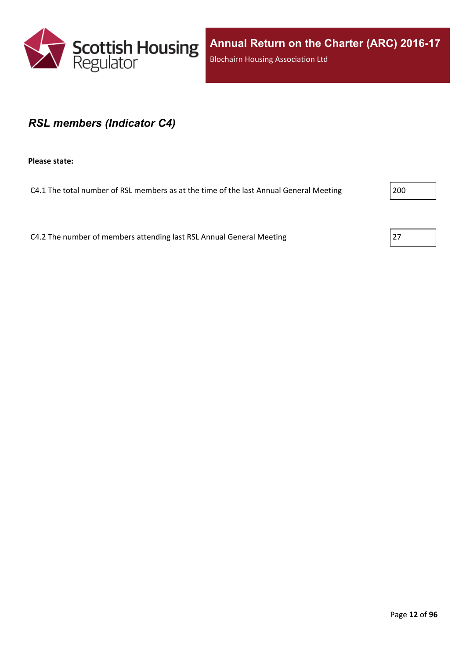

#### <span id="page-11-0"></span>*RSL members (Indicator C4)*

**Please state:**

C4.1 The total number of RSL members as at the time of the last Annual General Meeting 200

C4.2 The number of members attending last RSL Annual General Meeting  $\vert$  27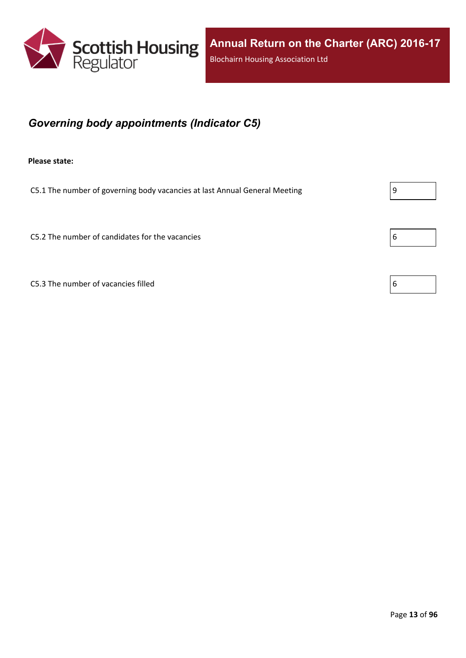

## <span id="page-12-0"></span>*Governing body appointments (Indicator C5)*

**Please state:**

C5.1 The number of governing body vacancies at last Annual General Meeting  $\vert 9 \vert$ 

C5.2 The number of candidates for the vacancies  $\begin{array}{c} \boxed{6} \\ \end{array}$ 

C5.3 The number of vacancies filled  $\vert 6 \vert$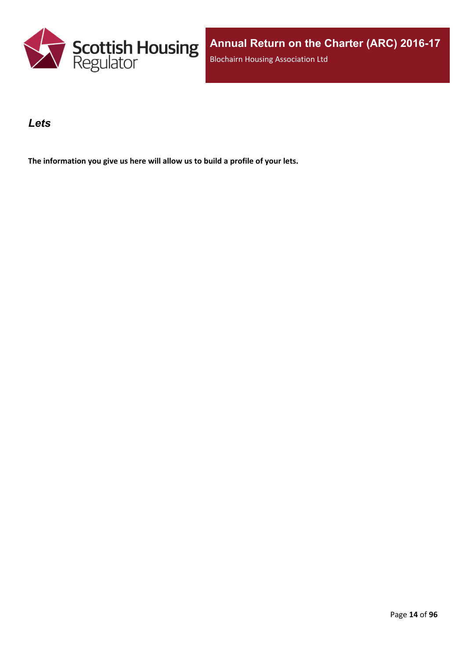

#### <span id="page-13-0"></span>*Lets*

**The information you give us here will allow us to build a profile of your lets.**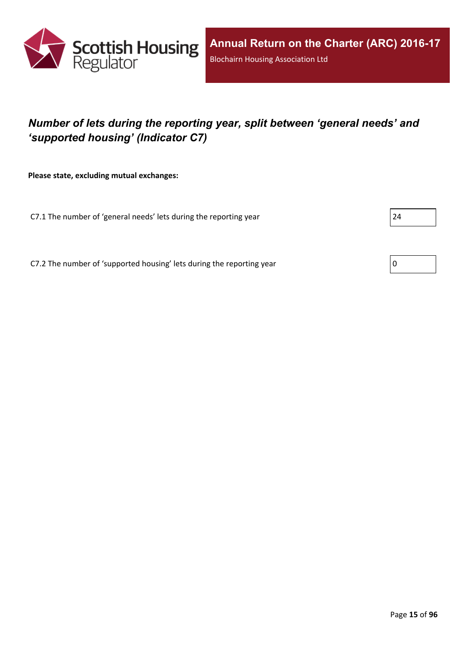

## <span id="page-14-0"></span>*Number of lets during the reporting year, split between 'general needs' and 'supported housing' (Indicator C7)*

**Please state, excluding mutual exchanges:**

C7.1 The number of 'general needs' lets during the reporting year 24

C7.2 The number of 'supported housing' lets during the reporting year  $\vert 0 \rangle$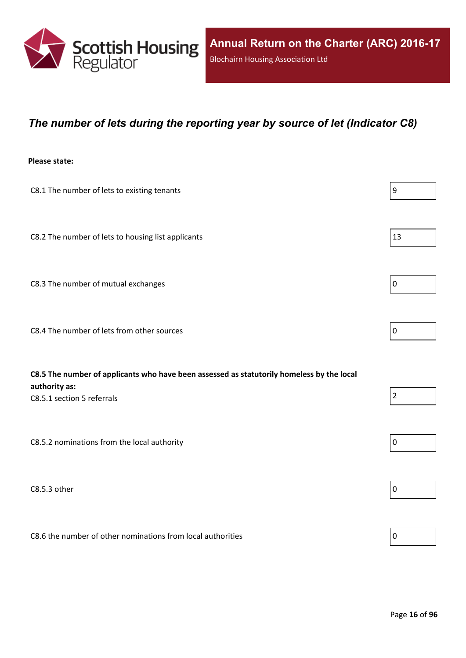

#### <span id="page-15-0"></span>*The number of lets during the reporting year by source of let (Indicator C8)*

#### **Please state:**

| C8.1 The number of lets to existing tenants                                                                                              | $\boldsymbol{9}$ |
|------------------------------------------------------------------------------------------------------------------------------------------|------------------|
| C8.2 The number of lets to housing list applicants                                                                                       | 13               |
| C8.3 The number of mutual exchanges                                                                                                      | $\mathbf 0$      |
| C8.4 The number of lets from other sources                                                                                               | $\pmb{0}$        |
| C8.5 The number of applicants who have been assessed as statutorily homeless by the local<br>authority as:<br>C8.5.1 section 5 referrals | $\overline{2}$   |
| C8.5.2 nominations from the local authority                                                                                              | $\pmb{0}$        |
| C8.5.3 other                                                                                                                             | 0                |

C8.6 the number of other nominations from local authorities  $\vert$  0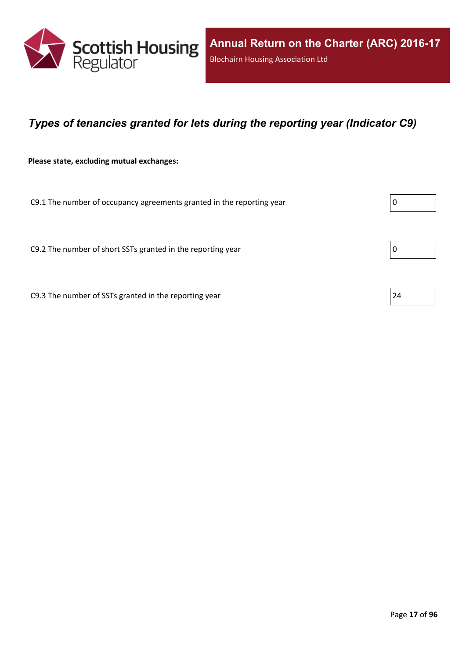

### <span id="page-16-0"></span>*Types of tenancies granted for lets during the reporting year (Indicator C9)*

**Please state, excluding mutual exchanges:**

C9.1 The number of occupancy agreements granted in the reporting year  $\vert 0 \rangle$ 

C9.2 The number of short SSTs granted in the reporting year  $\vert$  0

C9.3 The number of SSTs granted in the reporting year  $\vert$  24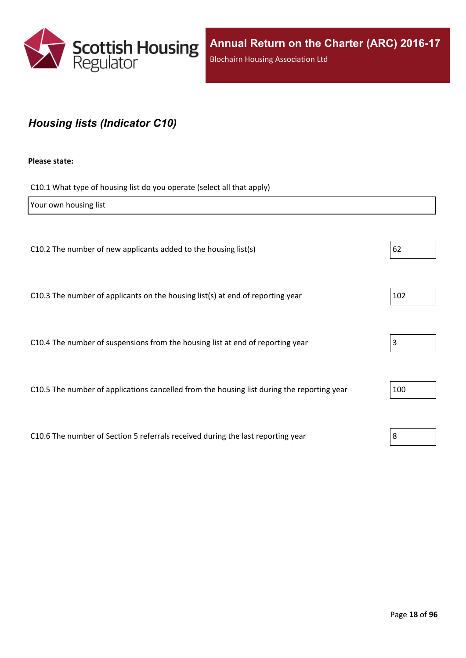

## <span id="page-17-0"></span>*Housing lists (Indicator C10)*

#### **Please state:**

C10.1 What type of housing list do you operate (select all that apply)

| Your own housing list                                                                      |     |
|--------------------------------------------------------------------------------------------|-----|
|                                                                                            |     |
| C10.2 The number of new applicants added to the housing list(s)                            | 62  |
|                                                                                            |     |
| C10.3 The number of applicants on the housing list(s) at end of reporting year             | 102 |
|                                                                                            |     |
| C10.4 The number of suspensions from the housing list at end of reporting year             | 3   |
|                                                                                            |     |
| C10.5 The number of applications cancelled from the housing list during the reporting year | 100 |
|                                                                                            |     |
| C10.6 The number of Section 5 referrals received during the last reporting year            | 8   |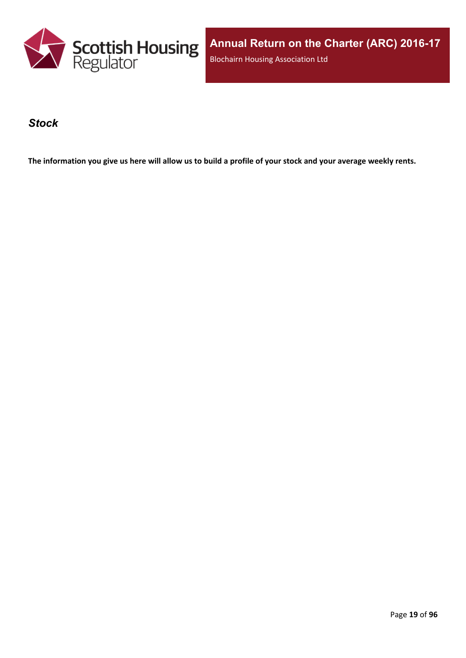

**Annual Return on the Charter (ARC) 2016-17** Blochairn Housing Association Ltd

#### <span id="page-18-0"></span>*Stock*

The information you give us here will allow us to build a profile of your stock and your average weekly rents.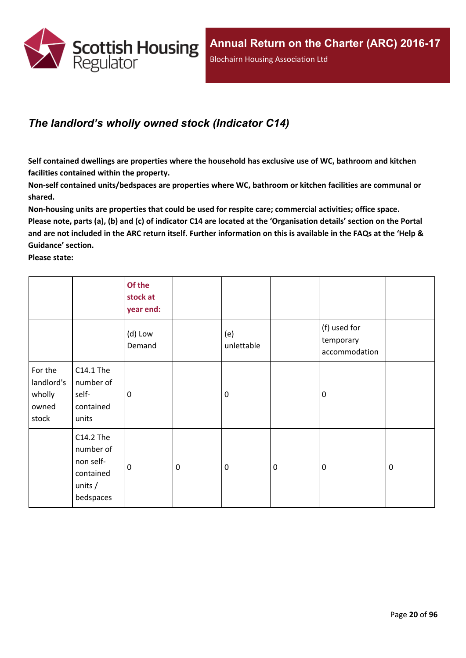

### <span id="page-19-0"></span>*The landlord's wholly owned stock (Indicator C14)*

**Self contained dwellings are properties where the household has exclusive use of WC, bathroom and kitchen facilities contained within the property.**

**Non-self contained units/bedspaces are properties where WC, bathroom or kitchen facilities are communal or shared.**

**Non-housing units are properties that could be used for respite care; commercial activities; office space.** Please note, parts (a), (b) and (c) of indicator C14 are located at the 'Organisation details' section on the Portal and are not included in the ARC return itself. Further information on this is available in the FAQs at the 'Help & **Guidance' section.**

**Please state:**

|                                                   |                                                                            | Of the<br>stock at<br>year end: |             |                   |             |                                            |             |
|---------------------------------------------------|----------------------------------------------------------------------------|---------------------------------|-------------|-------------------|-------------|--------------------------------------------|-------------|
|                                                   |                                                                            | (d) Low<br>Demand               |             | (e)<br>unlettable |             | (f) used for<br>temporary<br>accommodation |             |
| For the<br>landlord's<br>wholly<br>owned<br>stock | C14.1 The<br>number of<br>self-<br>contained<br>units                      | 0                               |             | 0                 |             | $\mathbf 0$                                |             |
|                                                   | C14.2 The<br>number of<br>non self-<br>contained<br>units $/$<br>bedspaces | $\mathbf 0$                     | $\mathbf 0$ | $\pmb{0}$         | $\mathbf 0$ | $\mathbf 0$                                | $\mathbf 0$ |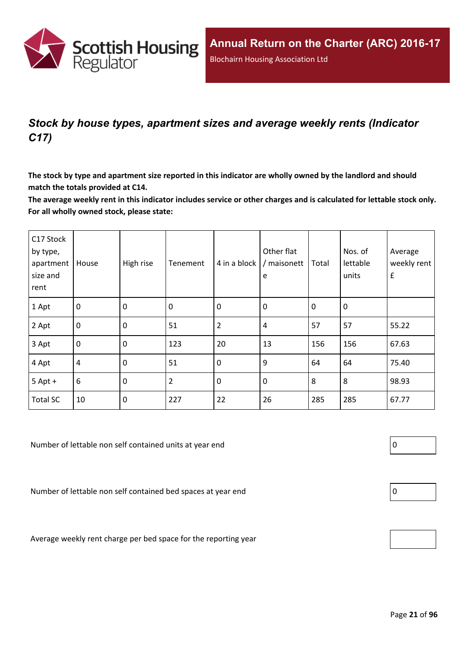

## <span id="page-20-0"></span>*Stock by house types, apartment sizes and average weekly rents (Indicator C17)*

The stock by type and apartment size reported in this indicator are wholly owned by the landlord and should **match the totals provided at C14.**

The average weekly rent in this indicator includes service or other charges and is calculated for lettable stock only. **For all wholly owned stock, please state:**

| C17 Stock<br>by type,<br>apartment<br>size and<br>rent | House          | High rise   | Tenement       | 4 in a block   | Other flat<br>/ maisonett<br>e | Total       | Nos. of<br>lettable<br>units | Average<br>weekly rent<br>$\pmb{\mathsf{f}}$ |
|--------------------------------------------------------|----------------|-------------|----------------|----------------|--------------------------------|-------------|------------------------------|----------------------------------------------|
| 1 Apt                                                  | $\overline{0}$ | $\mathbf 0$ | 0              | $\mathbf 0$    | $\mathbf 0$                    | $\mathbf 0$ | 0                            |                                              |
| 2 Apt                                                  | $\overline{0}$ | $\mathbf 0$ | 51             | $\overline{2}$ | 4                              | 57          | 57                           | 55.22                                        |
| 3 Apt                                                  | $\overline{0}$ | $\mathbf 0$ | 123            | 20             | 13                             | 156         | 156                          | 67.63                                        |
| 4 Apt                                                  | $\overline{4}$ | $\mathbf 0$ | 51             | $\mathbf 0$    | 9                              | 64          | 64                           | 75.40                                        |
| $5$ Apt +                                              | $6\,$          | $\mathbf 0$ | $\overline{2}$ | $\mathbf 0$    | $\mathbf 0$                    | 8           | 8                            | 98.93                                        |
| <b>Total SC</b>                                        | 10             | $\mathbf 0$ | 227            | 22             | 26                             | 285         | 285                          | 67.77                                        |

Number of lettable non self contained units at year end  $\vert 0 \vert$ 

Number of lettable non self contained bed spaces at year end  $\vert$  0

Average weekly rent charge per bed space for the reporting year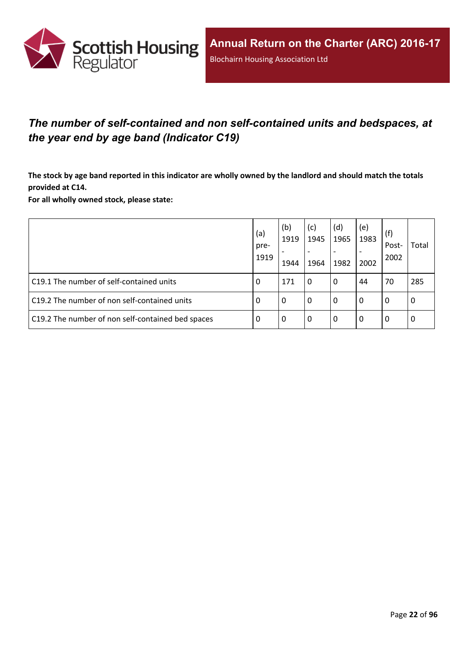

## <span id="page-21-0"></span>*The number of self-contained and non self-contained units and bedspaces, at the year end by age band (Indicator C19)*

The stock by age band reported in this indicator are wholly owned by the landlord and should match the totals **provided at C14.**

**For all wholly owned stock, please state:**

|                                                   | (a)<br>pre-<br>1919 | (b)<br>1919<br>1944 | (c)<br>1945<br>1964 | (d)<br>1965<br>1982 | (e)<br>1983<br>2002 | (f)<br>Post-<br>2002 | Total |
|---------------------------------------------------|---------------------|---------------------|---------------------|---------------------|---------------------|----------------------|-------|
| C19.1 The number of self-contained units          | 0                   | 171                 | 0                   | 0                   | 44                  | 70                   | 285   |
| C19.2 The number of non self-contained units      | 0                   | 0                   | 0                   | 0                   | 0                   | 0                    | 0     |
| C19.2 The number of non self-contained bed spaces | 0                   | 0                   | 0                   | 0                   | 0                   | 0                    | 0     |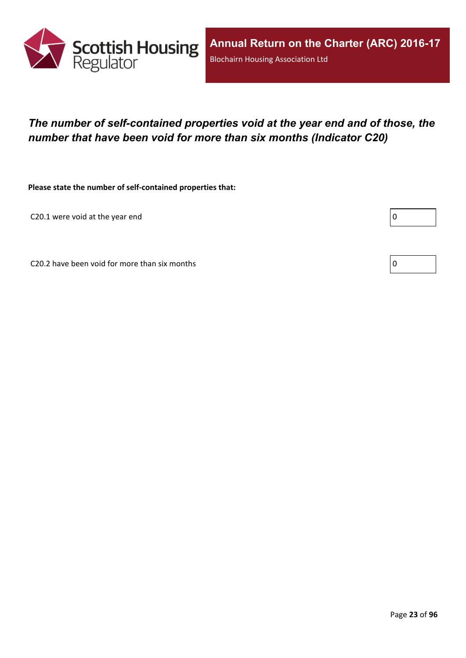

## <span id="page-22-0"></span>*The number of self-contained properties void at the year end and of those, the number that have been void for more than six months (Indicator C20)*

**Please state the number of self-contained properties that:**

C20.1 were void at the year end

Г

C20.2 have been void for more than six months  $\vert 0 \rangle$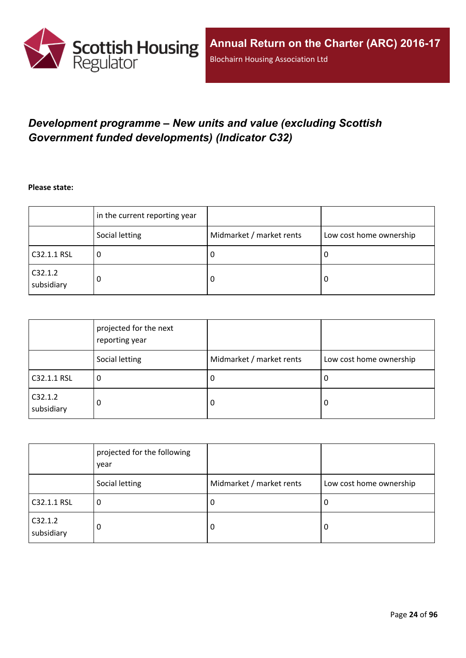

## <span id="page-23-0"></span>*Development programme – New units and value (excluding Scottish Government funded developments) (Indicator C32)*

**Please state:**

|                       | in the current reporting year |                          |                         |
|-----------------------|-------------------------------|--------------------------|-------------------------|
|                       | Social letting                | Midmarket / market rents | Low cost home ownership |
| C32.1.1 RSL           | u                             | υ                        | ∣U                      |
| C32.1.2<br>subsidiary | 0                             | υ                        | O                       |

|                       | projected for the next<br>reporting year |                          |                         |
|-----------------------|------------------------------------------|--------------------------|-------------------------|
|                       | Social letting                           | Midmarket / market rents | Low cost home ownership |
| C32.1.1 RSL           | 0                                        | -U                       | 0                       |
| C32.1.2<br>subsidiary | 0                                        | -0                       | 0                       |

|                       | projected for the following<br>year |                          |                         |
|-----------------------|-------------------------------------|--------------------------|-------------------------|
|                       | Social letting                      | Midmarket / market rents | Low cost home ownership |
| C32.1.1 RSL           | υ                                   | -U                       | 0                       |
| C32.1.2<br>subsidiary | 0                                   | -0                       | 0                       |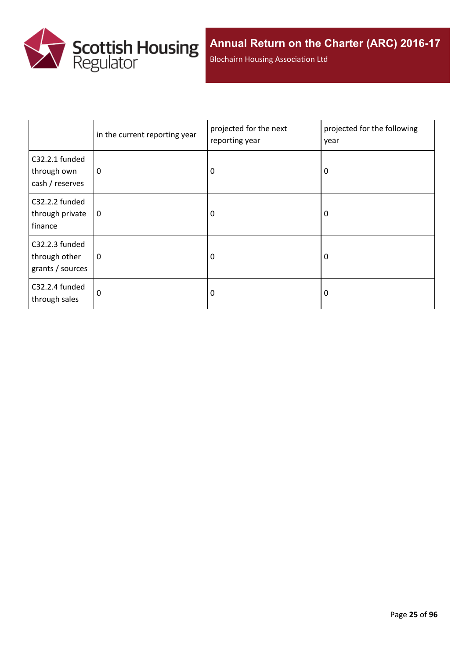

Blochairn Housing Association Ltd

|                                                     | in the current reporting year | projected for the next<br>reporting year | projected for the following<br>year |
|-----------------------------------------------------|-------------------------------|------------------------------------------|-------------------------------------|
| C32.2.1 funded<br>through own<br>cash / reserves    | $\mathbf 0$                   | 0                                        | 0                                   |
| C32.2.2 funded<br>through private<br>finance        | $\mathbf 0$                   | 0                                        | 0                                   |
| C32.2.3 funded<br>through other<br>grants / sources | 0                             | 0                                        | 0                                   |
| C32.2.4 funded<br>through sales                     | 0                             | 0                                        | 0                                   |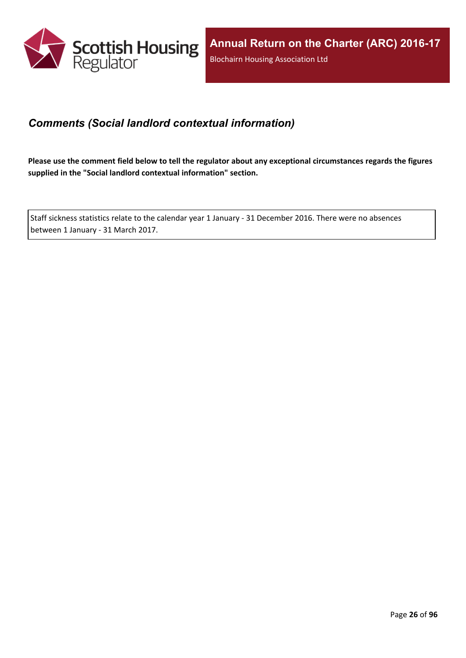

### <span id="page-25-0"></span>*Comments (Social landlord contextual information)*

Please use the comment field below to tell the regulator about any exceptional circumstances regards the figures **supplied in the "Social landlord contextual information" section.**

Staff sickness statistics relate to the calendar year 1 January - 31 December 2016. There were no absences between 1 January - 31 March 2017.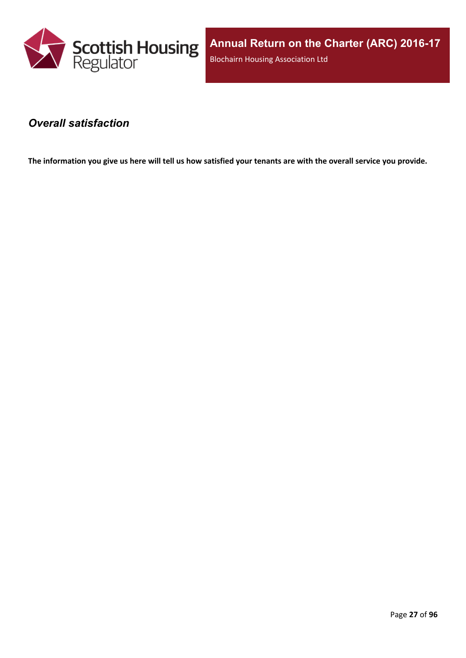

**Annual Return on the Charter (ARC) 2016-17** Blochairn Housing Association Ltd

#### <span id="page-26-0"></span>*Overall satisfaction*

The information you give us here will tell us how satisfied your tenants are with the overall service you provide.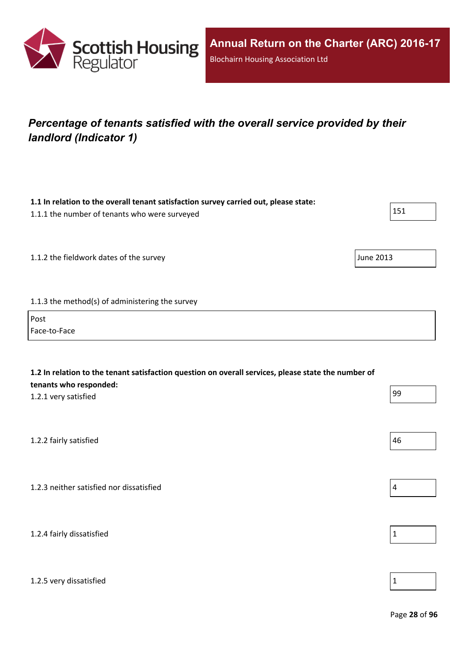

## <span id="page-27-0"></span>*Percentage of tenants satisfied with the overall service provided by their landlord (Indicator 1)*

| 1.1 In relation to the overall tenant satisfaction survey carried out, please state:<br>1.1.1 the number of tenants who were surveyed                 | 151              |
|-------------------------------------------------------------------------------------------------------------------------------------------------------|------------------|
| 1.1.2 the fieldwork dates of the survey                                                                                                               | <b>June 2013</b> |
| 1.1.3 the method(s) of administering the survey<br>Post                                                                                               |                  |
| Face-to-Face                                                                                                                                          |                  |
| 1.2 In relation to the tenant satisfaction question on overall services, please state the number of<br>tenants who responded:<br>1.2.1 very satisfied | 99               |
| 1.2.2 fairly satisfied                                                                                                                                | 46               |
| 1.2.3 neither satisfied nor dissatisfied                                                                                                              | $\overline{4}$   |
| 1.2.4 fairly dissatisfied                                                                                                                             | $\mathbf 1$      |
|                                                                                                                                                       |                  |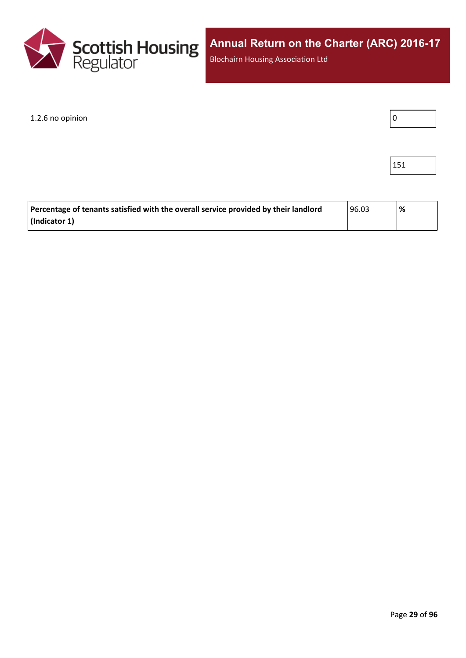

Blochairn Housing Association Ltd

#### $1.2.6$  no opinion  $\boxed{0}$



| Percentage of tenants satisfied with the overall service provided by their landlord | 96.03 | % |
|-------------------------------------------------------------------------------------|-------|---|
| (Indicator 1)                                                                       |       |   |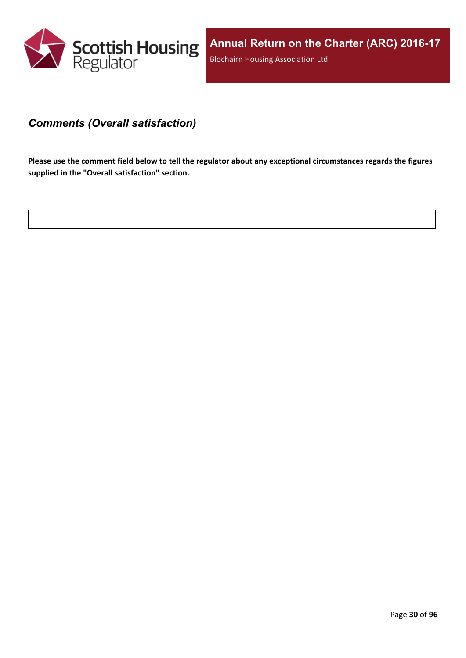

#### <span id="page-29-0"></span>*Comments (Overall satisfaction)*

Please use the comment field below to tell the regulator about any exceptional circumstances regards the figures **supplied in the "Overall satisfaction" section.**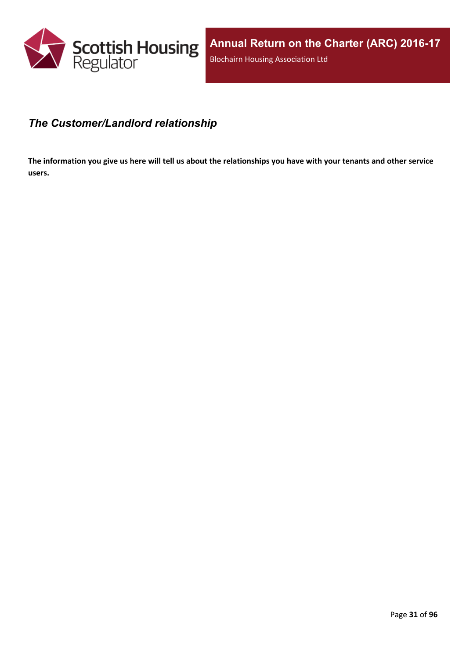

#### <span id="page-30-0"></span>*The Customer/Landlord relationship*

The information you give us here will tell us about the relationships you have with your tenants and other service **users.**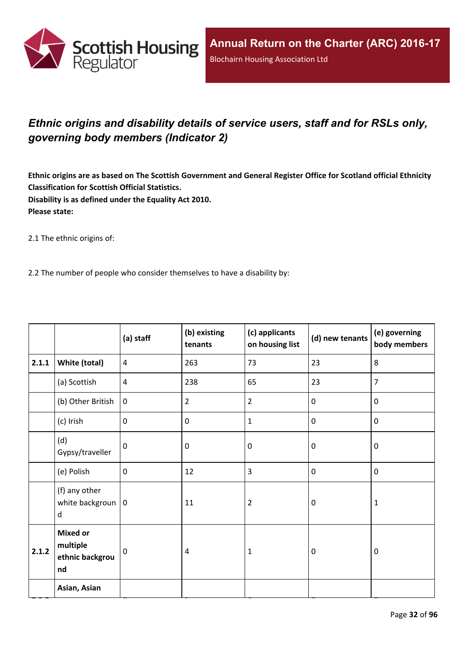

## <span id="page-31-0"></span>*Ethnic origins and disability details of service users, staff and for RSLs only, governing body members (Indicator 2)*

Ethnic origins are as based on The Scottish Government and General Register Office for Scotland official Ethnicity **Classification for Scottish Official Statistics. Disability is as defined under the Equality Act 2010. Please state:**

2.1 The ethnic origins of:

2.2 The number of people who consider themselves to have a disability by:

|       |                                                      | (a) staff      | (b) existing<br>tenants | (c) applicants<br>on housing list | (d) new tenants  | (e) governing<br>body members |
|-------|------------------------------------------------------|----------------|-------------------------|-----------------------------------|------------------|-------------------------------|
| 2.1.1 | White (total)                                        | $\overline{4}$ | 263                     | 73                                | 23               | 8                             |
|       | (a) Scottish                                         | $\overline{4}$ | 238                     | 65                                | 23               | $\overline{7}$                |
|       | (b) Other British                                    | $\mathbf{0}$   | $\overline{2}$          | $\overline{2}$                    | $\mathbf 0$      | $\mathbf 0$                   |
|       | (c) Irish                                            | $\mathbf 0$    | 0                       | $\mathbf{1}$                      | $\mathbf 0$      | $\mathbf 0$                   |
|       | (d)<br>Gypsy/traveller                               | $\mathbf 0$    | 0                       | $\mathbf 0$                       | $\mathbf 0$      | $\mathbf 0$                   |
|       | (e) Polish                                           | $\mathbf 0$    | 12                      | 3                                 | $\pmb{0}$        | $\pmb{0}$                     |
|       | (f) any other<br>white backgroun $ 0$<br>d           |                | 11                      | $\overline{2}$                    | $\mathbf 0$      | $\mathbf{1}$                  |
| 2.1.2 | <b>Mixed or</b><br>multiple<br>ethnic backgrou<br>nd | 0              | $\overline{4}$          | 1                                 | $\boldsymbol{0}$ | $\mathbf 0$                   |
|       | Asian, Asian                                         |                |                         |                                   |                  |                               |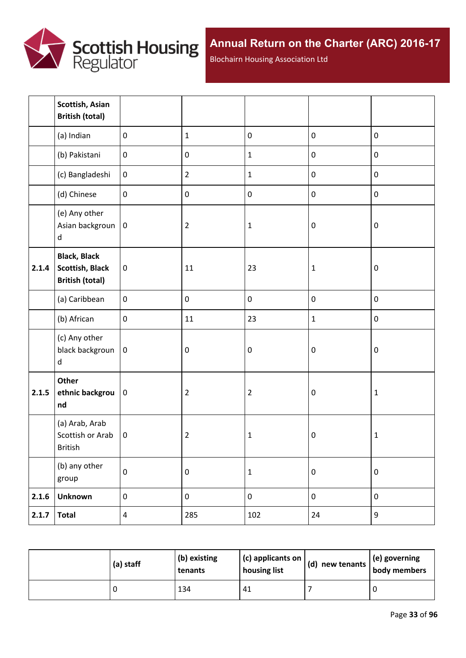

Blochairn Housing Association Ltd

|       | Scottish, Asian<br><b>British (total)</b>                               |                  |                |                |                  |                  |
|-------|-------------------------------------------------------------------------|------------------|----------------|----------------|------------------|------------------|
|       | (a) Indian                                                              | $\mathbf 0$      | $\mathbf{1}$   | $\pmb{0}$      | $\pmb{0}$        | $\pmb{0}$        |
|       | (b) Pakistani                                                           | $\boldsymbol{0}$ | $\pmb{0}$      | $\mathbf 1$    | $\pmb{0}$        | $\pmb{0}$        |
|       | (c) Bangladeshi                                                         | $\boldsymbol{0}$ | $\overline{2}$ | $\mathbf{1}$   | $\pmb{0}$        | $\pmb{0}$        |
|       | (d) Chinese                                                             | $\boldsymbol{0}$ | $\pmb{0}$      | $\mathbf 0$    | $\pmb{0}$        | $\pmb{0}$        |
|       | (e) Any other<br>Asian backgroun<br>$\sf d$                             | $\boldsymbol{0}$ | $\overline{2}$ | $\mathbf 1$    | $\boldsymbol{0}$ | $\pmb{0}$        |
| 2.1.4 | <b>Black, Black</b><br><b>Scottish, Black</b><br><b>British (total)</b> | $\pmb{0}$        | 11             | 23             | $\mathbf{1}$     | $\pmb{0}$        |
|       | (a) Caribbean                                                           | $\mathbf 0$      | $\pmb{0}$      | $\pmb{0}$      | $\pmb{0}$        | $\pmb{0}$        |
|       | (b) African                                                             | $\pmb{0}$        | 11             | 23             | $\mathbf 1$      | $\pmb{0}$        |
|       | (c) Any other<br>black backgroun<br>d                                   | $\mathbf 0$      | $\pmb{0}$      | $\pmb{0}$      | $\boldsymbol{0}$ | $\boldsymbol{0}$ |
| 2.1.5 | Other<br>ethnic backgrou<br>nd                                          | $\pmb{0}$        | $\overline{2}$ | $\overline{2}$ | $\boldsymbol{0}$ | $\mathbf 1$      |
|       | (a) Arab, Arab<br>Scottish or Arab<br>British                           | $\mathbf 0$      | $\overline{2}$ | $\mathbf 1$    | $\boldsymbol{0}$ | $\mathbf{1}$     |
|       | (b) any other<br>group                                                  | $\pmb{0}$        | $\pmb{0}$      | $\mathbf 1$    | $\pmb{0}$        | $\pmb{0}$        |
| 2.1.6 | <b>Unknown</b>                                                          | $\pmb{0}$        | $\pmb{0}$      | $\pmb{0}$      | $\pmb{0}$        | $\pmb{0}$        |
| 2.1.7 | <b>Total</b>                                                            | $\overline{4}$   | 285            | 102            | 24               | 9                |

| (a) staff | (b) existing<br>tenants | $(c)$ applicants on<br>housing list | $\vert$ (d) new tenants $\vert$ . | $\vert$ (e) governing<br>body members |
|-----------|-------------------------|-------------------------------------|-----------------------------------|---------------------------------------|
|           | 134                     | 41                                  |                                   |                                       |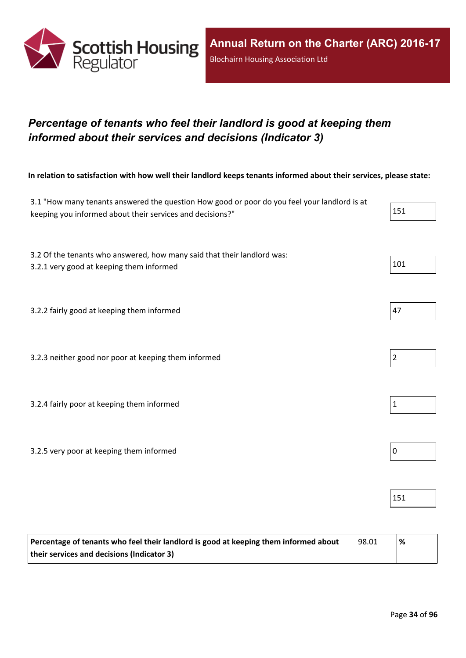

## <span id="page-33-0"></span>*Percentage of tenants who feel their landlord is good at keeping them informed about their services and decisions (Indicator 3)*

In relation to satisfaction with how well their landlord keeps tenants informed about their services, please state:

| 3.1 "How many tenants answered the question How good or poor do you feel your landlord is at<br>keeping you informed about their services and decisions?" | 151            |
|-----------------------------------------------------------------------------------------------------------------------------------------------------------|----------------|
| 3.2 Of the tenants who answered, how many said that their landlord was:<br>3.2.1 very good at keeping them informed                                       | 101            |
| 3.2.2 fairly good at keeping them informed                                                                                                                | 47             |
| 3.2.3 neither good nor poor at keeping them informed                                                                                                      | $\overline{2}$ |
| 3.2.4 fairly poor at keeping them informed                                                                                                                | $\mathbf{1}$   |
| 3.2.5 very poor at keeping them informed                                                                                                                  | $\mathbf 0$    |
|                                                                                                                                                           | 151            |

| Percentage of tenants who feel their landlord is good at keeping them informed about | 98.01 | % |
|--------------------------------------------------------------------------------------|-------|---|
| their services and decisions (Indicator 3)                                           |       |   |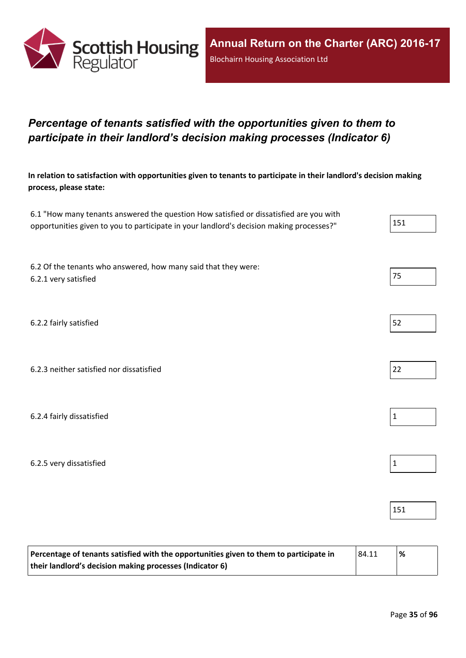

## <span id="page-34-0"></span>*Percentage of tenants satisfied with the opportunities given to them to participate in their landlord's decision making processes (Indicator 6)*

In relation to satisfaction with opportunities given to tenants to participate in their landlord's decision making **process, please state:**

| 6.1 "How many tenants answered the question How satisfied or dissatisfied are you with   |     |
|------------------------------------------------------------------------------------------|-----|
| opportunities given to you to participate in your landlord's decision making processes?" | 151 |

6.2 Of the tenants who answered, how many said that they were: 6.2.1 very satisfied 75

6.2.2 fairly satisfied 52

6.2.3 neither satisfied nor dissatisfied 22

6.2.4 fairly dissatisfied  $\vert$  1

6.2.5 very dissatisfied and the set of the set of the set of the set of the set of the set of the set of the set of the set of the set of the set of the set of the set of the set of the set of the set of the set of the set

| Percentage of tenants satisfied with the opportunities given to them to participate in<br> 84.11 |  | $\frac{9}{6}$ |
|--------------------------------------------------------------------------------------------------|--|---------------|
| their landlord's decision making processes (Indicator 6)                                         |  |               |

151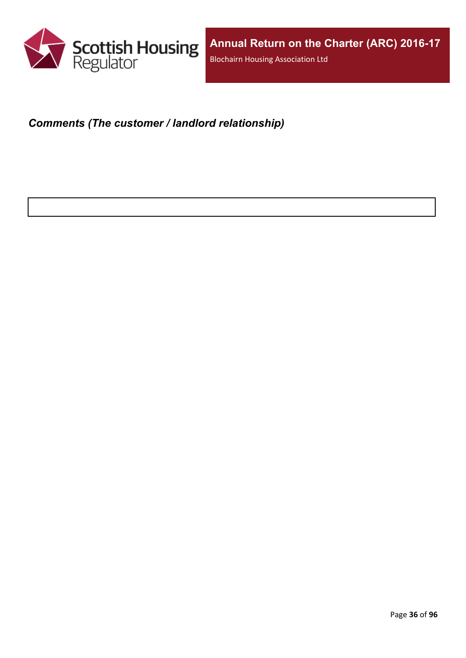

### <span id="page-35-0"></span>*Comments (The customer / landlord relationship)*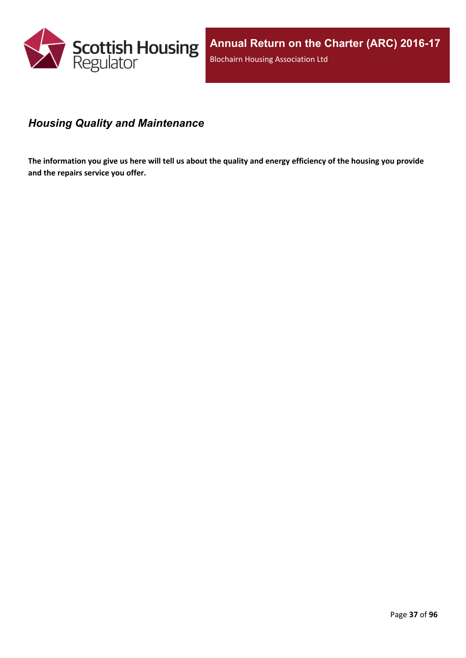

# *Housing Quality and Maintenance*

The information you give us here will tell us about the quality and energy efficiency of the housing you provide **and the repairs service you offer.**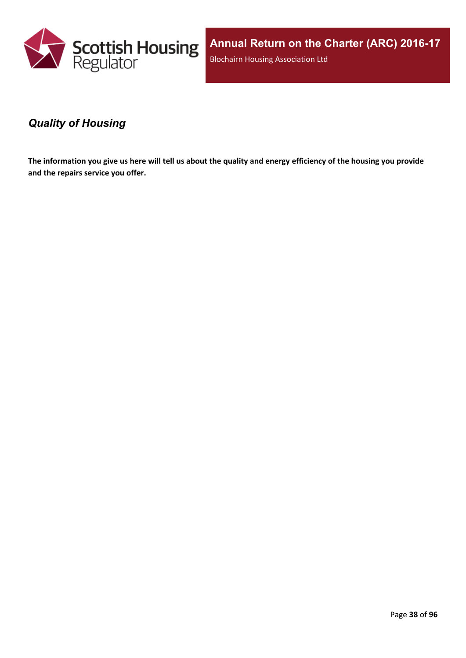

**Annual Return on the Charter (ARC) 2016-17** Blochairn Housing Association Ltd

### *Quality of Housing*

The information you give us here will tell us about the quality and energy efficiency of the housing you provide **and the repairs service you offer.**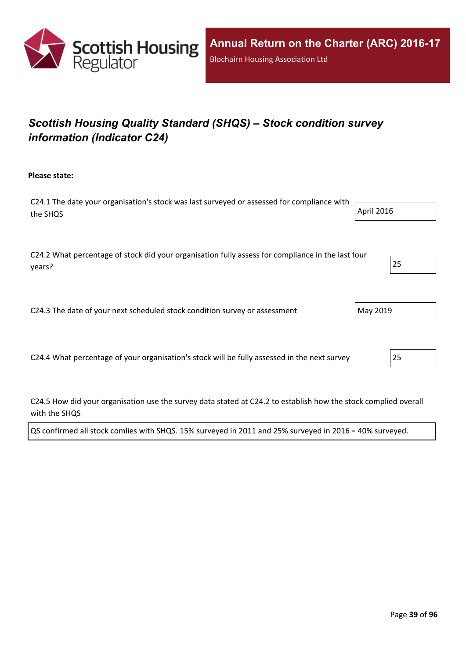

# *Scottish Housing Quality Standard (SHQS) – Stock condition survey information (Indicator C24)*

**Please state:**

| C24.1 The date your organisation's stock was last surveyed or assessed for compliance with |            |
|--------------------------------------------------------------------------------------------|------------|
| the SHQS                                                                                   | April 2016 |
|                                                                                            |            |

C24.2 What percentage of stock did your organisation fully assess for compliance in the last four years? 25

C24.3 The date of your next scheduled stock condition survey or assessment  $\vert$  May 2019

C24.4 What percentage of your organisation's stock will be fully assessed in the next survey 25

C24.5 How did your organisation use the survey data stated at C24.2 to establish how the stock complied overall with the SHQS

QS confirmed all stock comlies with SHQS. 15% surveyed in 2011 and 25% surveyed in 2016 = 40% surveyed.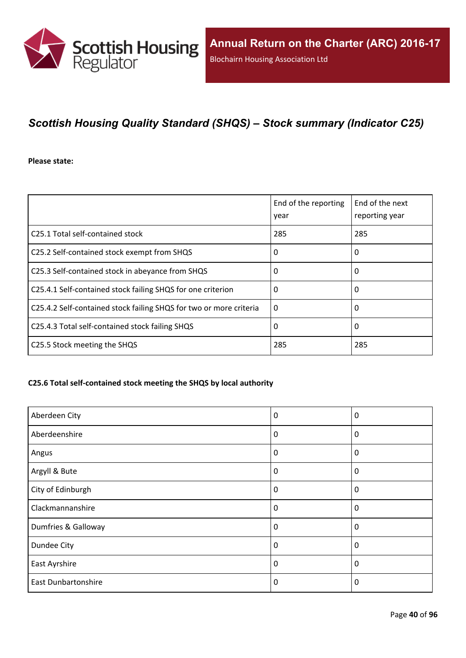

# *Scottish Housing Quality Standard (SHQS) – Stock summary (Indicator C25)*

**Please state:**

|                                                                    | End of the reporting<br>year | End of the next<br>reporting year |
|--------------------------------------------------------------------|------------------------------|-----------------------------------|
| C25.1 Total self-contained stock                                   | 285                          | 285                               |
| C25.2 Self-contained stock exempt from SHQS                        | 0                            | 0                                 |
| C25.3 Self-contained stock in abeyance from SHQS                   | 0                            | 0                                 |
| C25.4.1 Self-contained stock failing SHQS for one criterion        | 0                            | 0                                 |
| C25.4.2 Self-contained stock failing SHQS for two or more criteria | $\Omega$                     | 0                                 |
| C25.4.3 Total self-contained stock failing SHQS                    | 0                            | 0                                 |
| C25.5 Stock meeting the SHQS                                       | 285                          | 285                               |

### **C25.6 Total self-contained stock meeting the SHQS by local authority**

| Aberdeen City              | 0        | 0            |
|----------------------------|----------|--------------|
| Aberdeenshire              | 0        | 0            |
| Angus                      | $\Omega$ | 0            |
| Argyll & Bute              | 0        | 0            |
| City of Edinburgh          | 0        | 0            |
| Clackmannanshire           | 0        | 0            |
| Dumfries & Galloway        | 0        | $\mathbf{0}$ |
| Dundee City                | 0        | 0            |
| East Ayrshire              | 0        | 0            |
| <b>East Dunbartonshire</b> | 0        | 0            |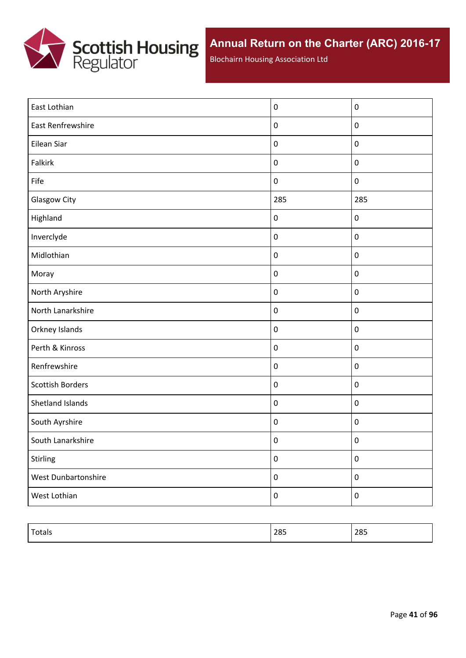

Blochairn Housing Association Ltd

| East Lothian            | $\boldsymbol{0}$ | $\pmb{0}$        |
|-------------------------|------------------|------------------|
| East Renfrewshire       | $\pmb{0}$        | $\pmb{0}$        |
| Eilean Siar             | $\pmb{0}$        | $\pmb{0}$        |
| Falkirk                 | $\pmb{0}$        | $\pmb{0}$        |
| Fife                    | $\pmb{0}$        | $\boldsymbol{0}$ |
| Glasgow City            | 285              | 285              |
| Highland                | $\pmb{0}$        | $\pmb{0}$        |
| Inverclyde              | $\pmb{0}$        | $\pmb{0}$        |
| Midlothian              | $\pmb{0}$        | $\pmb{0}$        |
| Moray                   | $\pmb{0}$        | $\pmb{0}$        |
| North Aryshire          | $\pmb{0}$        | $\pmb{0}$        |
| North Lanarkshire       | $\pmb{0}$        | $\pmb{0}$        |
| Orkney Islands          | $\pmb{0}$        | $\pmb{0}$        |
| Perth & Kinross         | $\pmb{0}$        | $\pmb{0}$        |
| Renfrewshire            | $\pmb{0}$        | $\pmb{0}$        |
| <b>Scottish Borders</b> | $\pmb{0}$        | $\pmb{0}$        |
| Shetland Islands        | $\pmb{0}$        | $\pmb{0}$        |
| South Ayrshire          | $\pmb{0}$        | $\pmb{0}$        |
| South Lanarkshire       | $\pmb{0}$        | $\pmb{0}$        |
| Stirling                | $\pmb{0}$        | $\pmb{0}$        |
| West Dunbartonshire     | $\pmb{0}$        | $\boldsymbol{0}$ |
| West Lothian            | $\boldsymbol{0}$ | $\pmb{0}$        |

| $\tau$<br>Totals | 285 | 285 |
|------------------|-----|-----|
|                  |     |     |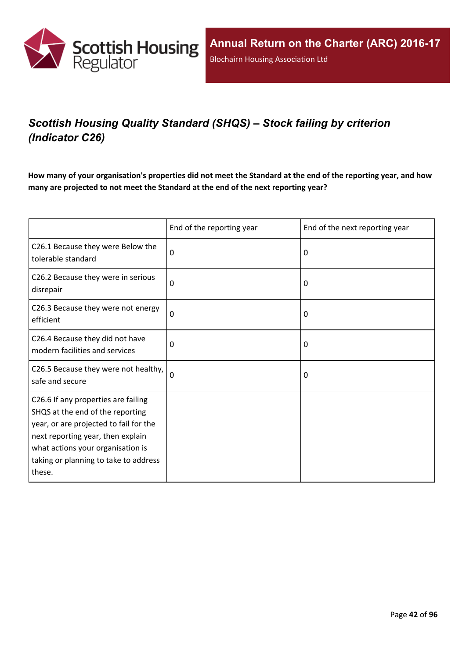

# *Scottish Housing Quality Standard (SHQS) – Stock failing by criterion (Indicator C26)*

How many of your organisation's properties did not meet the Standard at the end of the reporting year, and how **many are projected to not meet the Standard at the end of the next reporting year?**

|                                                                                                                                                                                                                                                | End of the reporting year | End of the next reporting year |
|------------------------------------------------------------------------------------------------------------------------------------------------------------------------------------------------------------------------------------------------|---------------------------|--------------------------------|
| C26.1 Because they were Below the<br>tolerable standard                                                                                                                                                                                        | 0                         | $\Omega$                       |
| C26.2 Because they were in serious<br>disrepair                                                                                                                                                                                                | 0                         | 0                              |
| C26.3 Because they were not energy<br>efficient                                                                                                                                                                                                | $\mathbf 0$               | 0                              |
| C26.4 Because they did not have<br>modern facilities and services                                                                                                                                                                              | 0                         | 0                              |
| C26.5 Because they were not healthy,<br>safe and secure                                                                                                                                                                                        | 0                         | 0                              |
| C26.6 If any properties are failing<br>SHQS at the end of the reporting<br>year, or are projected to fail for the<br>next reporting year, then explain<br>what actions your organisation is<br>taking or planning to take to address<br>these. |                           |                                |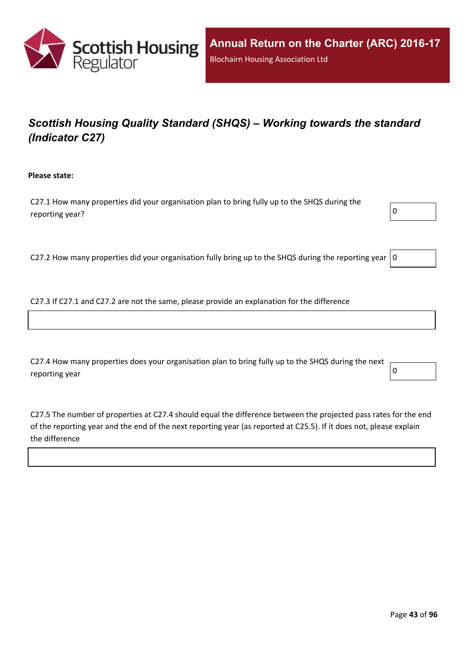

# *Scottish Housing Quality Standard (SHQS) – Working towards the standard (Indicator C27)*

**Please state:**

C27.1 How many properties did your organisation plan to bring fully up to the SHQS during the reporting year?  $\boxed{0}$ 



C27.2 How many properties did your organisation fully bring up to the SHQS during the reporting year  $|0$ 

C27.3 If C27.1 and C27.2 are not the same, please provide an explanation for the difference

C27.4 How many properties does your organisation plan to bring fully up to the SHQS during the next reporting year  $\begin{bmatrix} 0 \end{bmatrix}$ 

C27.5 The number of properties at C27.4 should equal the difference between the projected pass rates for the end of the reporting year and the end of the next reporting year (as reported at C25.5). If it does not, please explain the difference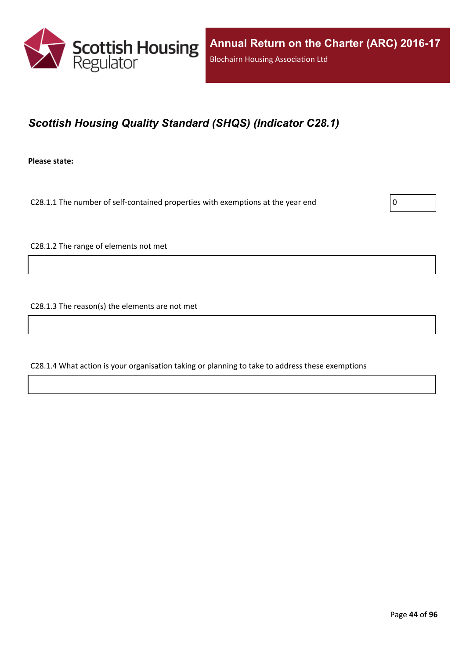

## *Scottish Housing Quality Standard (SHQS) (Indicator C28.1)*

**Please state:**

C28.1.1 The number of self-contained properties with exemptions at the year end  $\vert$  0

C28.1.2 The range of elements not met

C28.1.3 The reason(s) the elements are not met

C28.1.4 What action is your organisation taking or planning to take to address these exemptions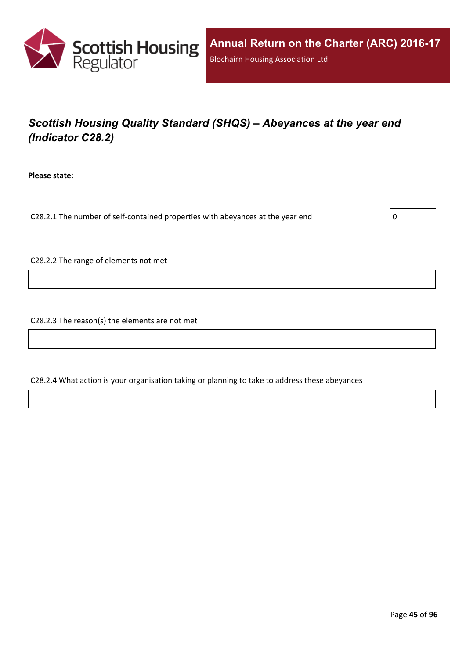

# *Scottish Housing Quality Standard (SHQS) – Abeyances at the year end (Indicator C28.2)*

**Please state:**

C28.2.1 The number of self-contained properties with abeyances at the year end  $\vert$  0

C28.2.2 The range of elements not met

C28.2.3 The reason(s) the elements are not met

C28.2.4 What action is your organisation taking or planning to take to address these abeyances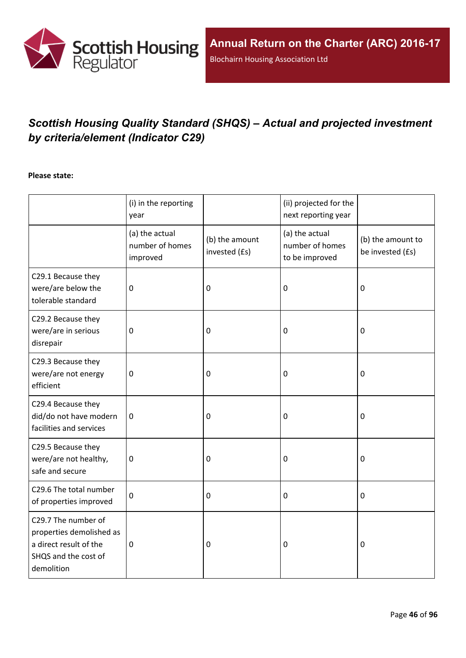

# *Scottish Housing Quality Standard (SHQS) – Actual and projected investment by criteria/element (Indicator C29)*

### **Please state:**

|                                                                                                                 | (i) in the reporting<br>year                  |                                 | (ii) projected for the<br>next reporting year       |                                       |
|-----------------------------------------------------------------------------------------------------------------|-----------------------------------------------|---------------------------------|-----------------------------------------------------|---------------------------------------|
|                                                                                                                 | (a) the actual<br>number of homes<br>improved | (b) the amount<br>invested (£s) | (a) the actual<br>number of homes<br>to be improved | (b) the amount to<br>be invested (£s) |
| C29.1 Because they<br>were/are below the<br>tolerable standard                                                  | $\mathbf 0$                                   | $\mathbf 0$                     | 0                                                   | $\mathbf 0$                           |
| C29.2 Because they<br>were/are in serious<br>disrepair                                                          | $\mathbf 0$                                   | $\pmb{0}$                       | 0                                                   | $\boldsymbol{0}$                      |
| C29.3 Because they<br>were/are not energy<br>efficient                                                          | $\mathbf 0$                                   | $\mathbf 0$                     | 0                                                   | $\mathbf 0$                           |
| C29.4 Because they<br>did/do not have modern<br>facilities and services                                         | $\mathbf 0$                                   | $\mathbf 0$                     | 0                                                   | $\boldsymbol{0}$                      |
| C29.5 Because they<br>were/are not healthy,<br>safe and secure                                                  | $\boldsymbol{0}$                              | $\mathbf 0$                     | 0                                                   | $\boldsymbol{0}$                      |
| C29.6 The total number<br>of properties improved                                                                | $\mathbf 0$                                   | $\mathbf 0$                     | 0                                                   | $\mathbf 0$                           |
| C29.7 The number of<br>properties demolished as<br>a direct result of the<br>SHQS and the cost of<br>demolition | $\pmb{0}$                                     | $\mathbf 0$                     | 0                                                   | $\mathbf 0$                           |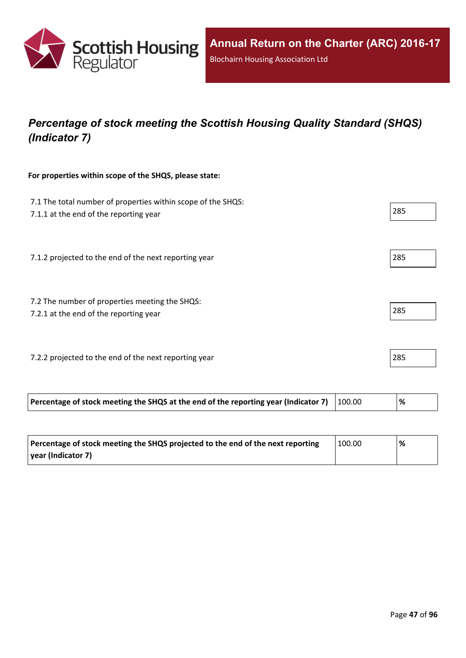

# *Percentage of stock meeting the Scottish Housing Quality Standard (SHQS) (Indicator 7)*

### **For properties within scope of the SHQS, please state:**

| 7.1 The total number of properties within scope of the SHQS:<br>7.1.1 at the end of the reporting year |        | 285  |
|--------------------------------------------------------------------------------------------------------|--------|------|
| 7.1.2 projected to the end of the next reporting year                                                  |        | 285  |
| 7.2 The number of properties meeting the SHQS:<br>7.2.1 at the end of the reporting year               |        | 285  |
| 7.2.2 projected to the end of the next reporting year                                                  |        | 285  |
| Percentage of stock meeting the SHQS at the end of the reporting year (Indicator 7)                    | 100.00 | $\%$ |

| Percentage of stock meeting the SHQS projected to the end of the next reporting | 100.00 | % |
|---------------------------------------------------------------------------------|--------|---|
| vear (Indicator 7)                                                              |        |   |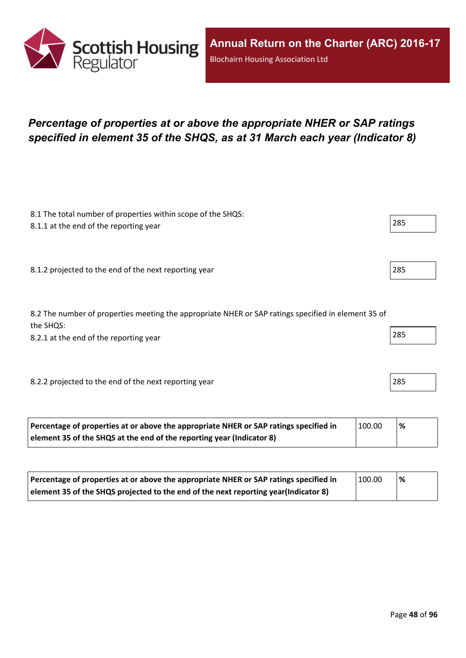

## *Percentage of properties at or above the appropriate NHER or SAP ratings specified in element 35 of the SHQS, as at 31 March each year (Indicator 8)*

| 8.1 The total number of properties within scope of the SHQS:<br>8.1.1 at the end of the reporting year           | 285 |
|------------------------------------------------------------------------------------------------------------------|-----|
|                                                                                                                  |     |
| 8.1.2 projected to the end of the next reporting year                                                            | 285 |
|                                                                                                                  |     |
| 8.2 The number of properties meeting the appropriate NHER or SAP ratings specified in element 35 of<br>the SHQS: |     |
| 8.2.1 at the end of the reporting year                                                                           | 285 |
|                                                                                                                  |     |
| 8.2.2 projected to the end of the next reporting year                                                            | 285 |
|                                                                                                                  |     |

| Percentage of properties at or above the appropriate NHER or SAP ratings specified in | 100.00 | '% |
|---------------------------------------------------------------------------------------|--------|----|
| element 35 of the SHQS at the end of the reporting year (Indicator 8)                 |        |    |

| Percentage of properties at or above the appropriate NHER or SAP ratings specified in | 100.00 | <u>'%</u> |
|---------------------------------------------------------------------------------------|--------|-----------|
| element 35 of the SHQS projected to the end of the next reporting year(Indicator 8)   |        |           |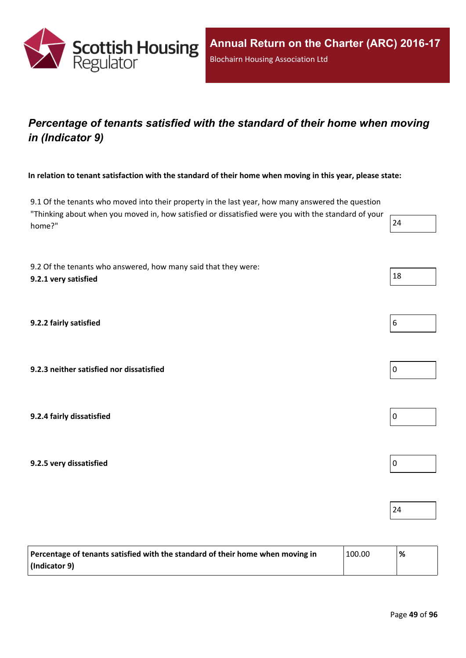

## *Percentage of tenants satisfied with the standard of their home when moving in (Indicator 9)*

In relation to tenant satisfaction with the standard of their home when moving in this year, please state:

9.1 Of the tenants who moved into their property in the last year, how many answered the question "Thinking about when you moved in, how satisfied or dissatisfied were you with the standard of your home?" 24

9.2 Of the tenants who answered, how many said that they were: **9.2.1 very** satisfied  $\left| \begin{array}{c} 18 \end{array} \right|$ 

**9.2.2 fairly satisfied** 6

**9.2.3 neither satisfied nor dissatisfied** 0

**9.2.4 fairly dissatisfied** 0

**9.2.5 very dissatisfied** 0

| Percentage of tenants satisfied with the standard of their home when moving in | 100.00 | % |
|--------------------------------------------------------------------------------|--------|---|
| $ $ (Indicator 9)                                                              |        |   |

24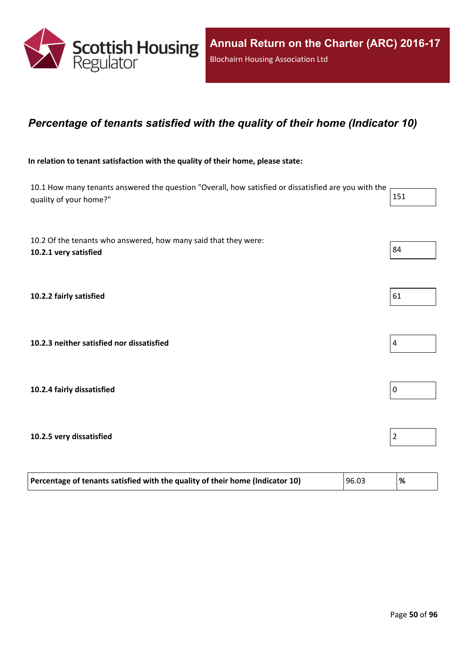

### *Percentage of tenants satisfied with the quality of their home (Indicator 10)*

### **In relation to tenant satisfaction with the quality of their home, please state:**

10.1 How many tenants answered the question "Overall, how satisfied or dissatisfied are you with the quality of your home?" 151

| 10.2 Of the tenants who answered, how many said that they were:<br>10.2.1 very satisfied | 84             |  |
|------------------------------------------------------------------------------------------|----------------|--|
| 10.2.2 fairly satisfied                                                                  | 61             |  |
| 10.2.3 neither satisfied nor dissatisfied                                                | $\pmb{4}$      |  |
| 10.2.4 fairly dissatisfied                                                               | 0              |  |
| 10.2.5 very dissatisfied                                                                 | $\overline{c}$ |  |

| Percentage of tenants satisfied with the quality of their home (Indicator 10) | 96.03 | % |
|-------------------------------------------------------------------------------|-------|---|
|                                                                               |       |   |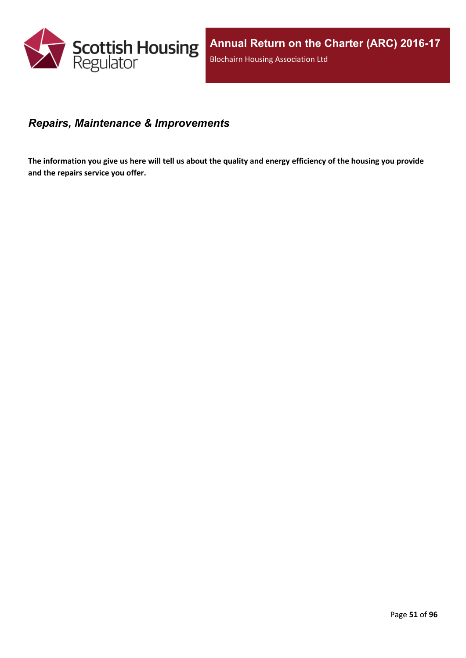

### *Repairs, Maintenance & Improvements*

The information you give us here will tell us about the quality and energy efficiency of the housing you provide **and the repairs service you offer.**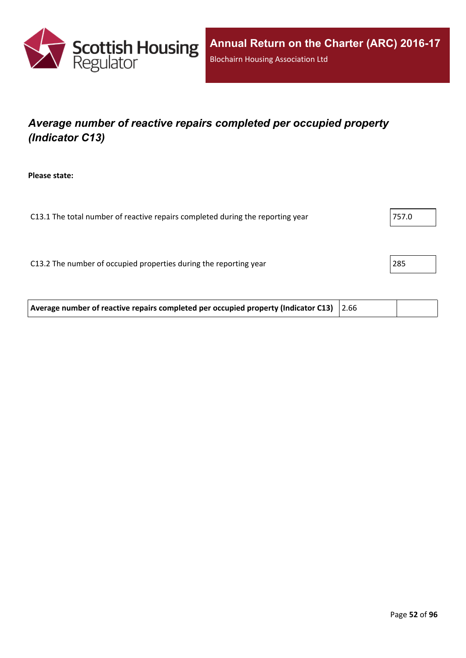

# *Average number of reactive repairs completed per occupied property (Indicator C13)*

**Please state:**

| C13.1 The total number of reactive repairs completed during the reporting year | 757.0 |
|--------------------------------------------------------------------------------|-------|
|                                                                                |       |
|                                                                                |       |
| C13.2 The number of occupied properties during the reporting year              | 285   |
|                                                                                |       |

**Average number of reactive repairs completed per occupied property (Indicator C13)** 2.66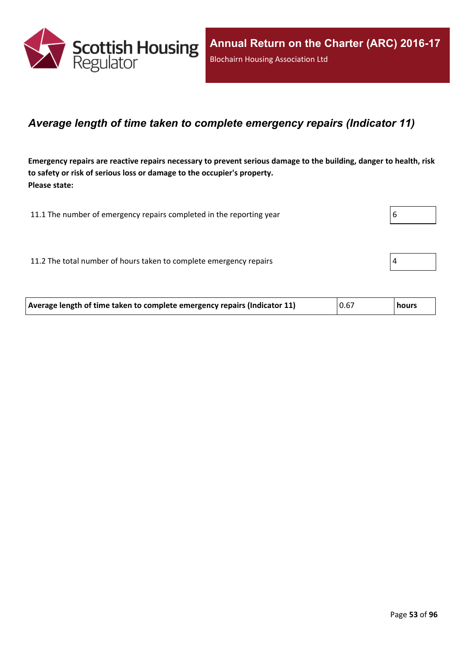

### *Average length of time taken to complete emergency repairs (Indicator 11)*

Emergency repairs are reactive repairs necessary to prevent serious damage to the building, danger to health, risk **to safety or risk of serious loss or damage to the occupier's property. Please state:**

| 11.1 The number of emergency repairs completed in the reporting year | b |
|----------------------------------------------------------------------|---|
|                                                                      |   |
| 11.2 The total number of hours taken to complete emergency repairs   |   |

| Average length of time taken to complete emergency repairs (Indicator 11) | 0.67 | hours |
|---------------------------------------------------------------------------|------|-------|
|                                                                           |      |       |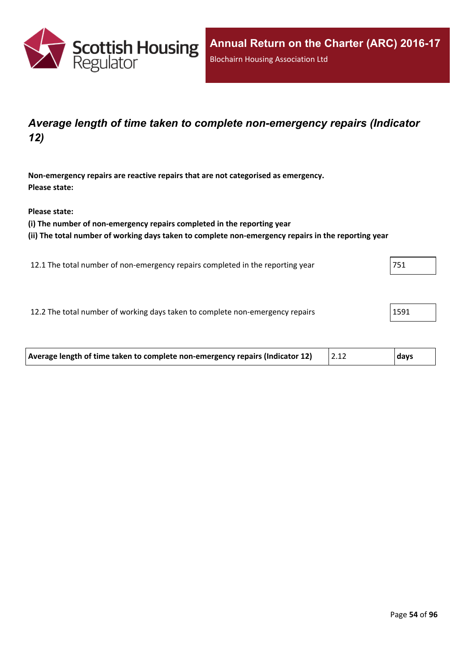

### *Average length of time taken to complete non-emergency repairs (Indicator 12)*

**Non-emergency repairs are reactive repairs that are not categorised as emergency. Please state:**

**Please state:**

**(i) The number of non-emergency repairs completed in the reporting year**

**(ii) The total number of working days taken to complete non-emergency repairs in the reporting year**

12.1 The total number of non-emergency repairs completed in the reporting year 751

12.2 The total number of working days taken to complete non-emergency repairs 1591

| Average length of time taken to complete non-emergency repairs (Indicator 12) | days |
|-------------------------------------------------------------------------------|------|
|                                                                               |      |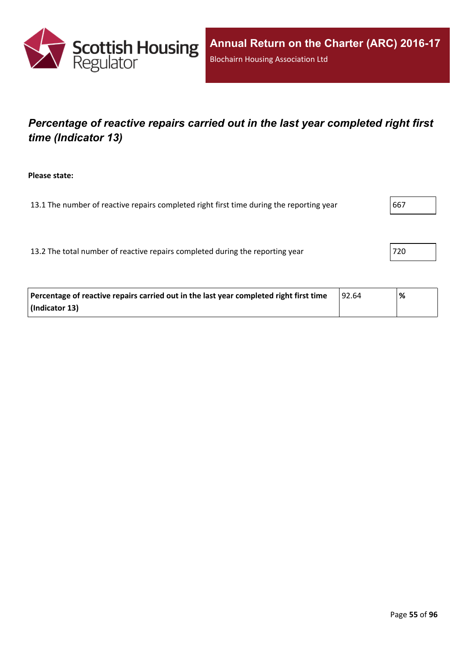

## *Percentage of reactive repairs carried out in the last year completed right first time (Indicator 13)*

**Please state:**

13.1 The number of reactive repairs completed right first time during the reporting year  $\vert$ 667

13.2 The total number of reactive repairs completed during the reporting year 720

| Percentage of reactive repairs carried out in the last year completed right first time | 92.64 | '% |
|----------------------------------------------------------------------------------------|-------|----|
| (Indicator 13)                                                                         |       |    |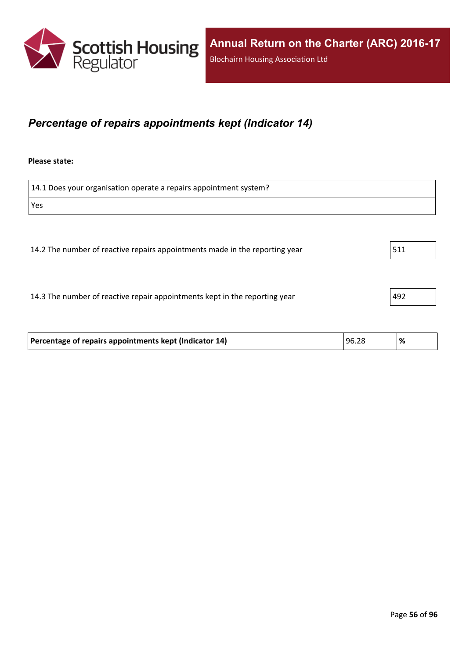

### *Percentage of repairs appointments kept (Indicator 14)*

#### **Please state:**

| 14.1 Does your organisation operate a repairs appointment system?           |     |
|-----------------------------------------------------------------------------|-----|
| Yes                                                                         |     |
|                                                                             |     |
| 14.2 The number of reactive repairs appointments made in the reporting year | 511 |
|                                                                             |     |
| 14.3 The number of reactive repair appointments kept in the reporting year  | 492 |

| Percentage of repairs appointments kept (Indicator 14) | 96.28 | ి⁄ం |
|--------------------------------------------------------|-------|-----|
|                                                        |       |     |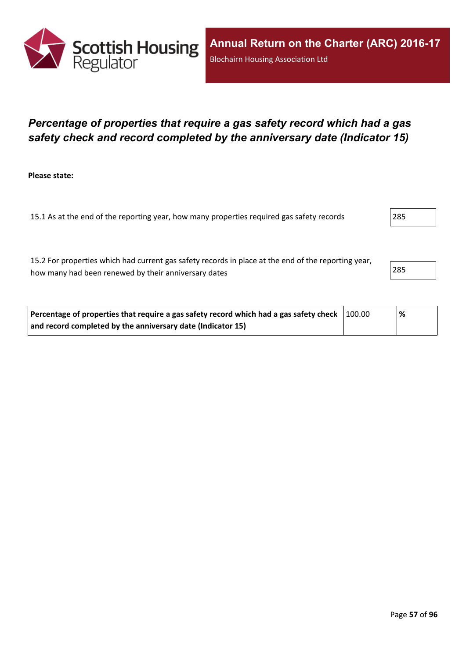

### *Percentage of properties that require a gas safety record which had a gas safety check and record completed by the anniversary date (Indicator 15)*

**Please state:**

15.1 As at the end of the reporting year, how many properties required gas safety records 285

15.2 For properties which had current gas safety records in place at the end of the reporting year, how many had been renewed by their anniversary dates 285

| Percentage of properties that require a gas safety record which had a gas safety check $\mid$ 100.00 | % |  |
|------------------------------------------------------------------------------------------------------|---|--|
| and record completed by the anniversary date (Indicator 15)                                          |   |  |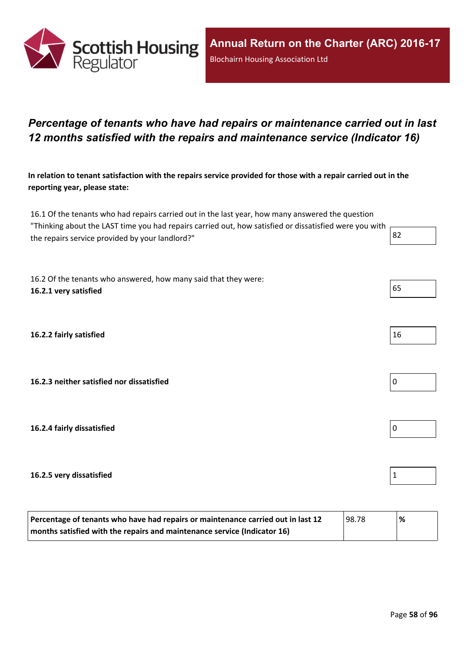

### *Percentage of tenants who have had repairs or maintenance carried out in last 12 months satisfied with the repairs and maintenance service (Indicator 16)*

In relation to tenant satisfaction with the repairs service provided for those with a repair carried out in the **reporting year, please state:**

16.1 Of the tenants who had repairs carried out in the last year, how many answered the question "Thinking about the LAST time you had repairs carried out, how satisfied or dissatisfied were you with the repairs service provided by your landlord?"  $\begin{array}{|l|l|} \hline \end{array}$  82

16.2 Of the tenants who answered, how many said that they were: **16.2.1 very satisfied** 65

**16.2.2 fairly satisfied** 16

**16.2.3 neither satisfied nor dissatisfied** 0

**16.2.4 fairly dissatisfied** 0

#### **16.2.5 very dissatisfied** 1

| Percentage of tenants who have had repairs or maintenance carried out in last 12 | 98.78 | % |
|----------------------------------------------------------------------------------|-------|---|
| months satisfied with the repairs and maintenance service (Indicator 16)         |       |   |

| 16 |  |  |
|----|--|--|



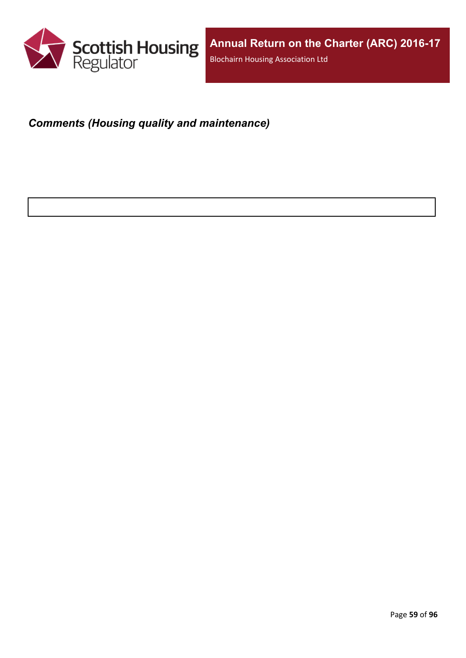

# *Comments (Housing quality and maintenance)*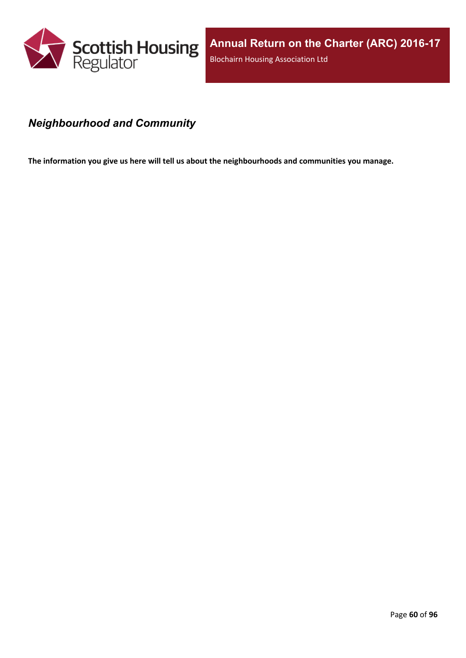

### *Neighbourhood and Community*

**The information you give us here will tell us about the neighbourhoods and communities you manage.**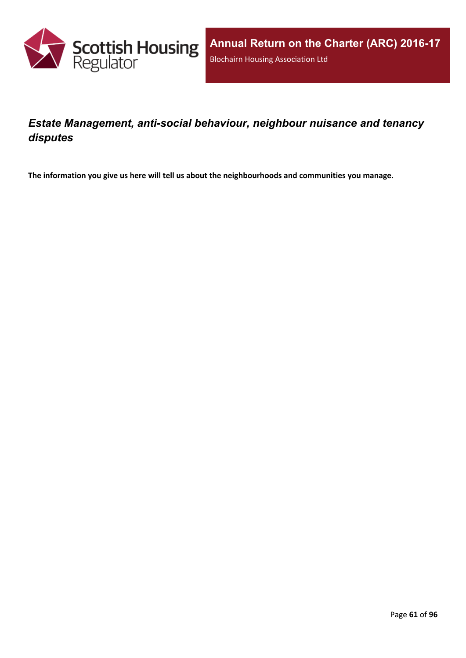

### *Estate Management, anti-social behaviour, neighbour nuisance and tenancy disputes*

**The information you give us here will tell us about the neighbourhoods and communities you manage.**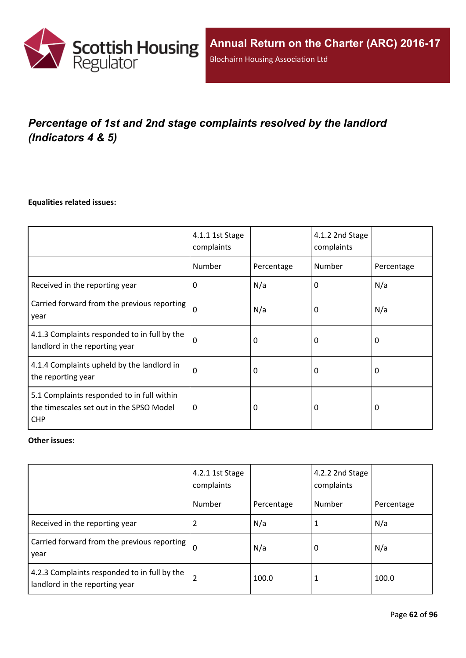

# *Percentage of 1st and 2nd stage complaints resolved by the landlord (Indicators 4 & 5)*

### **Equalities related issues:**

|                                                                                                      | 4.1.1 1st Stage<br>complaints |            | 4.1.2 2nd Stage<br>complaints |            |
|------------------------------------------------------------------------------------------------------|-------------------------------|------------|-------------------------------|------------|
|                                                                                                      | Number                        | Percentage | Number                        | Percentage |
| Received in the reporting year                                                                       | $\Omega$                      | N/a        | 0                             | N/a        |
| Carried forward from the previous reporting<br>year                                                  | $\Omega$                      | N/a        | 0                             | N/a        |
| 4.1.3 Complaints responded to in full by the<br>landlord in the reporting year                       | $\Omega$                      | 0          | 0                             | 0          |
| 4.1.4 Complaints upheld by the landlord in<br>the reporting year                                     | 0                             | 0          | 0                             | 0          |
| 5.1 Complaints responded to in full within<br>the timescales set out in the SPSO Model<br><b>CHP</b> | 0                             | 0          | 0                             | $\Omega$   |

### **Other issues:**

|                                                                                | 4.2.1 1st Stage<br>complaints |            | 4.2.2 2nd Stage<br>complaints |            |
|--------------------------------------------------------------------------------|-------------------------------|------------|-------------------------------|------------|
|                                                                                | Number                        | Percentage | Number                        | Percentage |
| Received in the reporting year                                                 | 2                             | N/a        |                               | N/a        |
| Carried forward from the previous reporting  <br>year                          | $\Omega$                      | N/a        | 0                             | N/a        |
| 4.2.3 Complaints responded to in full by the<br>landlord in the reporting year | $\overline{2}$                | 100.0      |                               | 100.0      |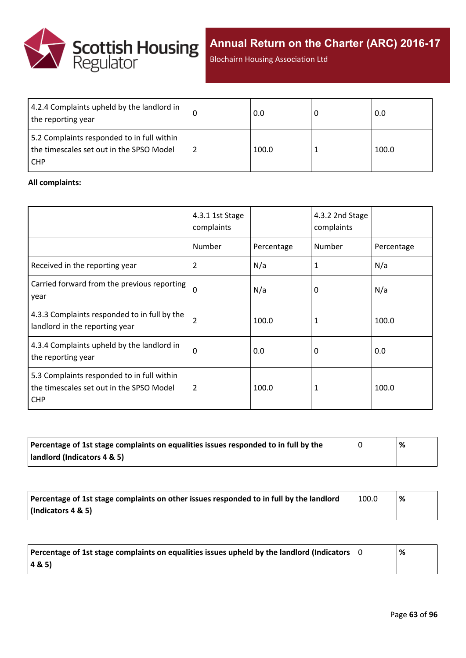

**Annual Return on the Charter (ARC) 2016-17**

Blochairn Housing Association Ltd

| 4.2.4 Complaints upheld by the landlord in<br>the reporting year                                     | 0.0   | 0.0   |
|------------------------------------------------------------------------------------------------------|-------|-------|
| 5.2 Complaints responded to in full within<br>the timescales set out in the SPSO Model<br><b>CHP</b> | 100.0 | 100.0 |

### **All complaints:**

|                                                                                                      | 4.3.1 1st Stage<br>complaints |            | 4.3.2 2nd Stage<br>complaints |            |
|------------------------------------------------------------------------------------------------------|-------------------------------|------------|-------------------------------|------------|
|                                                                                                      | Number                        | Percentage | Number                        | Percentage |
| Received in the reporting year                                                                       | 2                             | N/a        | 1                             | N/a        |
| Carried forward from the previous reporting<br>year                                                  | $\mathbf 0$                   | N/a        | 0                             | N/a        |
| 4.3.3 Complaints responded to in full by the<br>landlord in the reporting year                       | 2                             | 100.0      | 1                             | 100.0      |
| 4.3.4 Complaints upheld by the landlord in<br>the reporting year                                     | 0                             | 0.0        | 0                             | 0.0        |
| 5.3 Complaints responded to in full within<br>the timescales set out in the SPSO Model<br><b>CHP</b> | 2                             | 100.0      | 1                             | 100.0      |

| Percentage of 1st stage complaints on equalities issues responded to in full by the | % |
|-------------------------------------------------------------------------------------|---|
| landlord (Indicators 4 & 5)                                                         |   |

| Percentage of 1st stage complaints on other issues responded to in full by the landlord | 100.0 | % |
|-----------------------------------------------------------------------------------------|-------|---|
| (Indicators 4 & 5)                                                                      |       |   |

| Percentage of 1st stage complaints on equalities issues upheld by the landlord (Indicators $\vert$ 0 | % |
|------------------------------------------------------------------------------------------------------|---|
| (48.5)                                                                                               |   |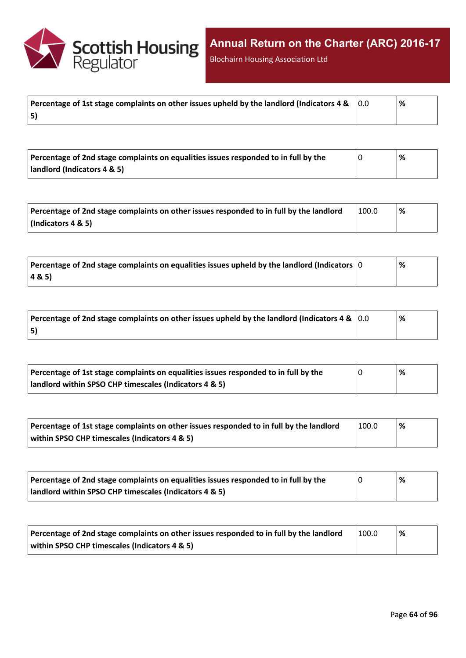

Blochairn Housing Association Ltd

|    | % |
|----|---|
| 5) |   |

| Percentage of 2nd stage complaints on equalities issues responded to in full by the | '% |  |
|-------------------------------------------------------------------------------------|----|--|
| landlord (Indicators 4 & 5)                                                         |    |  |

| Percentage of 2nd stage complaints on other issues responded to in full by the landlord | 100.0 | '% |
|-----------------------------------------------------------------------------------------|-------|----|
| (Indicators 4 & 5)                                                                      |       |    |

| Percentage of 2nd stage complaints on equalities issues upheld by the landlord (Indicators $ 0 $ | % |
|--------------------------------------------------------------------------------------------------|---|
| 4&5)                                                                                             |   |

| Percentage of 2nd stage complaints on other issues upheld by the landlord (Indicators 4 & $\vert$ 0.0 | '% |
|-------------------------------------------------------------------------------------------------------|----|
| 5)                                                                                                    |    |

| Percentage of 1st stage complaints on equalities issues responded to in full by the | % |
|-------------------------------------------------------------------------------------|---|
| landlord within SPSO CHP timescales (Indicators 4 & 5)                              |   |

| Percentage of 1st stage complaints on other issues responded to in full by the landlord | 100.0 | '% |
|-----------------------------------------------------------------------------------------|-------|----|
| within SPSO CHP timescales (Indicators 4 & 5)                                           |       |    |

| Percentage of 2nd stage complaints on equalities issues responded to in full by the | '% |
|-------------------------------------------------------------------------------------|----|
| landlord within SPSO CHP timescales (Indicators 4 & 5)                              |    |

| Percentage of 2nd stage complaints on other issues responded to in full by the landlord | 100.0 | % |
|-----------------------------------------------------------------------------------------|-------|---|
| within SPSO CHP timescales (Indicators 4 & 5)                                           |       |   |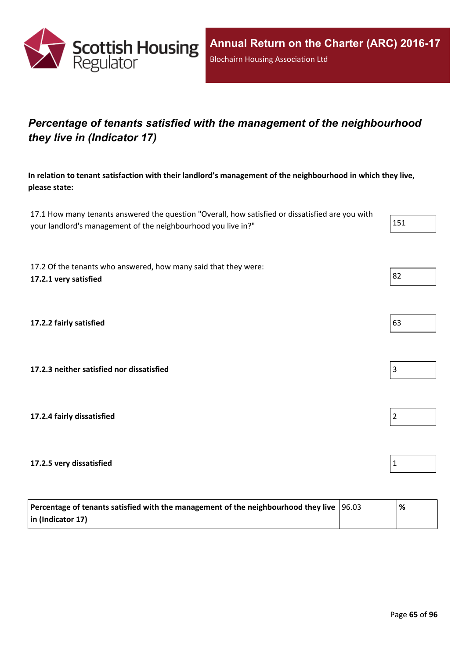

## *Percentage of tenants satisfied with the management of the neighbourhood they live in (Indicator 17)*

**In relation to tenant satisfaction with their landlord's management of the neighbourhood in which they live, please state:**

17.1 How many tenants answered the question "Overall, how satisfied or dissatisfied are you with your landlord's management of the neighbourhood you live in?" 151

17.2 Of the tenants who answered, how many said that they were: **17.2.1 very satisfied** 82

**17.2.2 fairly satisfied** 63

**17.2.3 neither satisfied nor dissatisfied** 3

**17.2.4 fairly dissatisfied** 2

**17.2.5 very dissatisfied** 1

| Percentage of tenants satisfied with the management of the neighbourhood they live $ 96.03 $ | '% |
|----------------------------------------------------------------------------------------------|----|
| in (Indicator 17)                                                                            |    |



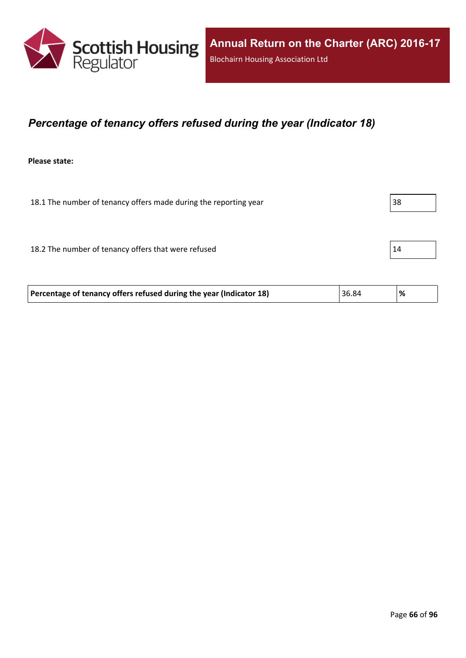

### *Percentage of tenancy offers refused during the year (Indicator 18)*

**Please state:**

18.1 The number of tenancy offers made during the reporting year 38 18.2 The number of tenancy offers that were refused 15 and 14

**Percentage of tenancy offers refused during the year (Indicator 18)** 36.84 **%**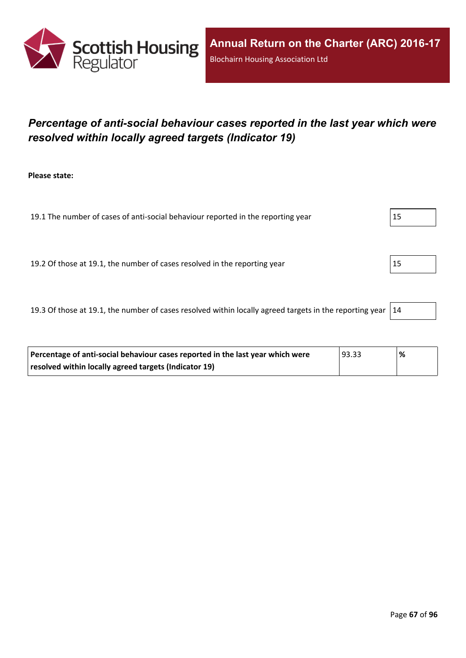

## *Percentage of anti-social behaviour cases reported in the last year which were resolved within locally agreed targets (Indicator 19)*

**Please state:**

19.1 The number of cases of anti-social behaviour reported in the reporting year 15

19.2 Of those at 19.1, the number of cases resolved in the reporting year 15

19.3 Of those at 19.1, the number of cases resolved within locally agreed targets in the reporting year  $|14$ 

| Percentage of anti-social behaviour cases reported in the last year which were | 93.33 | % |
|--------------------------------------------------------------------------------|-------|---|
| resolved within locally agreed targets (Indicator 19)                          |       |   |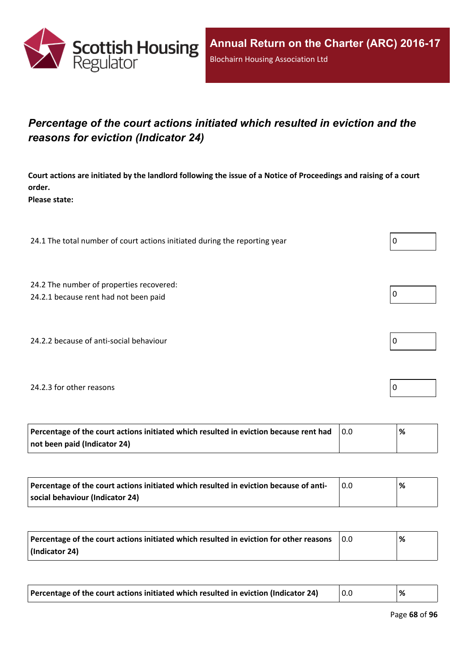

## *Percentage of the court actions initiated which resulted in eviction and the reasons for eviction (Indicator 24)*

Court actions are initiated by the landlord following the issue of a Notice of Proceedings and raising of a court **order.**

**Please state:**

24.1 The total number of court actions initiated during the reporting year  $\vert 0 \rangle$ 

24.2 The number of properties recovered:

24.2.1 because rent had not been paid  $\vert 0 \vert$ 

24.2.2 because of anti-social behaviour  $\vert 0 \rangle$ 

### 24.2.3 for other reasons  $\vert$  0

| Percentage of the court actions initiated which resulted in eviction because rent had | ℅ |
|---------------------------------------------------------------------------------------|---|
| not been paid (Indicator 24)                                                          |   |

| Percentage of the court actions initiated which resulted in eviction because of anti- | % |
|---------------------------------------------------------------------------------------|---|
| social behaviour (Indicator 24)                                                       |   |

| Percentage of the court actions initiated which resulted in eviction for other reasons | 0.0 | % |
|----------------------------------------------------------------------------------------|-----|---|
| (Indicator 24)                                                                         |     |   |

| Percentage of the court actions initiated which resulted in eviction (Indicator 24) |  |  |
|-------------------------------------------------------------------------------------|--|--|
|-------------------------------------------------------------------------------------|--|--|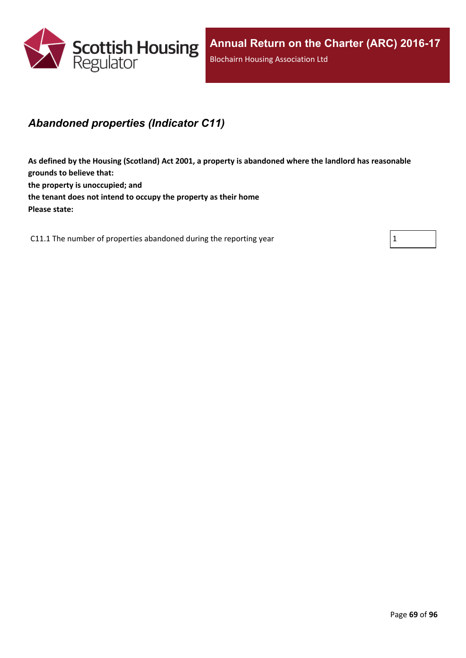

### *Abandoned properties (Indicator C11)*

**As defined by the Housing (Scotland) Act 2001, a property is abandoned where the landlord has reasonable grounds to believe that: the property is unoccupied; and the tenant does not intend to occupy the property as their home Please state:**

C11.1 The number of properties abandoned during the reporting year  $1 \tbinom{1}{1}$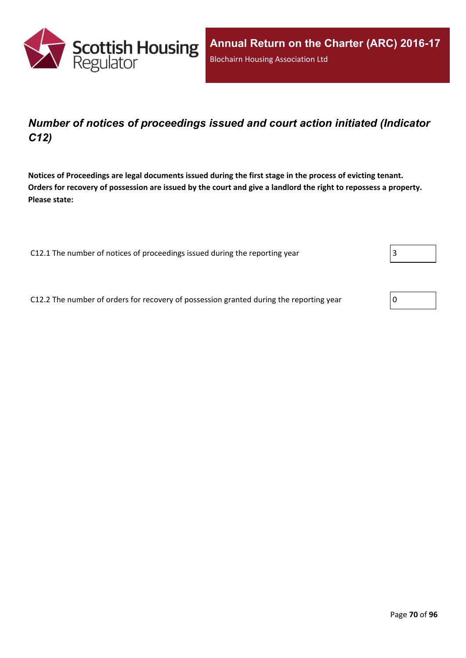

## *Number of notices of proceedings issued and court action initiated (Indicator C12)*

Notices of Proceedings are legal documents issued during the first stage in the process of evicting tenant. Orders for recovery of possession are issued by the court and give a landlord the right to repossess a property. **Please state:**

C12.1 The number of notices of proceedings issued during the reporting year

C12.2 The number of orders for recovery of possession granted during the reporting year

| 0 |  |
|---|--|
|---|--|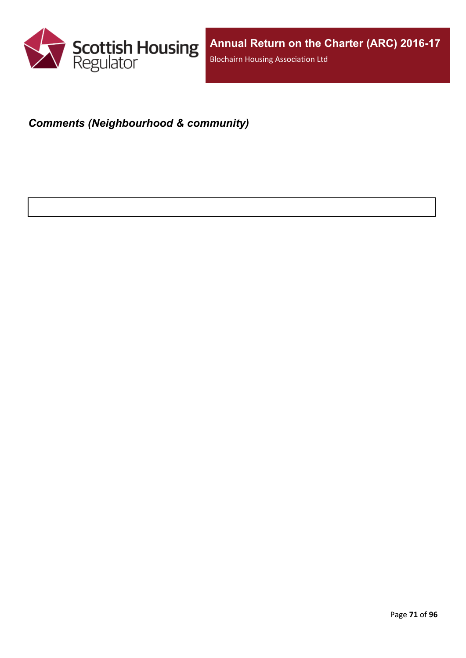

# *Comments (Neighbourhood & community)*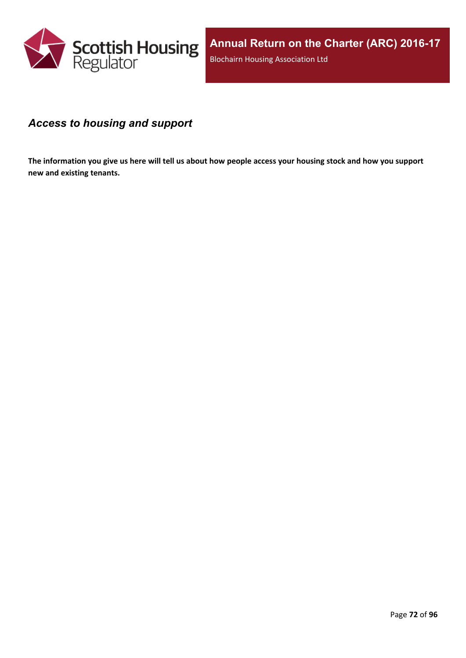

### *Access to housing and support*

The information you give us here will tell us about how people access your housing stock and how you support **new and existing tenants.**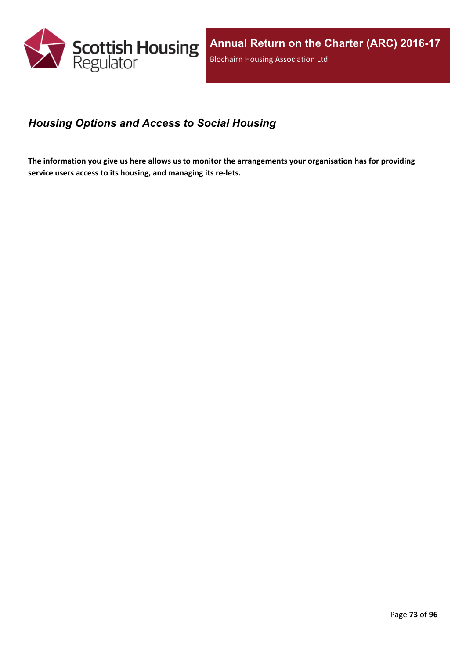

## *Housing Options and Access to Social Housing*

The information you give us here allows us to monitor the arrangements your organisation has for providing **service users access to its housing, and managing its re-lets.**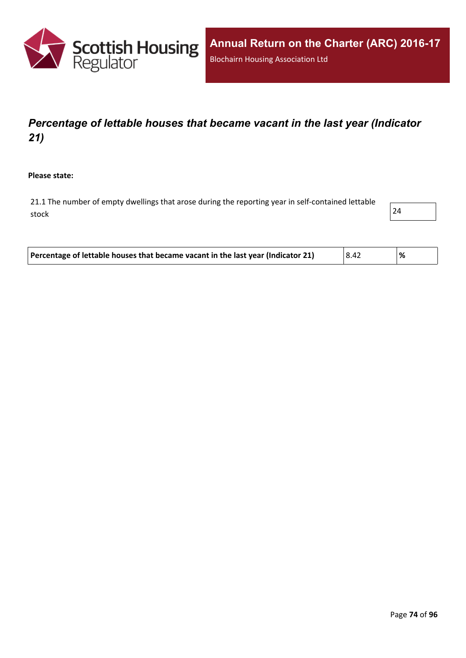

# *Percentage of lettable houses that became vacant in the last year (Indicator 21)*

**Please state:**

21.1 The number of empty dwellings that arose during the reporting year in self-contained lettable stock and the contract of  $\vert$  24  $\vert$ 



| Percentage of lettable houses that became vacant in the last year (Indicator 21)<br>  8.42<br>% |
|-------------------------------------------------------------------------------------------------|
|-------------------------------------------------------------------------------------------------|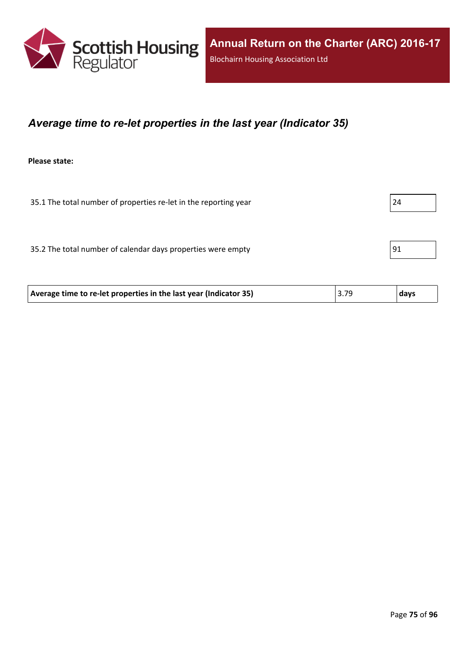

### *Average time to re-let properties in the last year (Indicator 35)*

**Please state:**

35.1 The total number of properties re-let in the reporting year 24 35.2 The total number of calendar days properties were empty 91

| Average time to re-let properties in the last year (Indicator 35) | 3.79 | days |
|-------------------------------------------------------------------|------|------|
|                                                                   |      |      |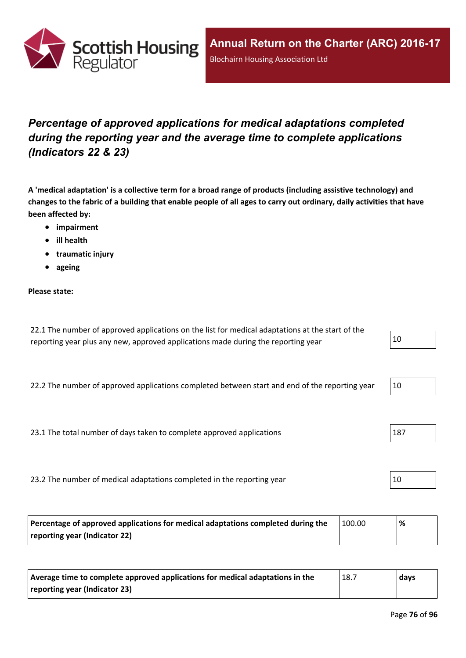

# *Percentage of approved applications for medical adaptations completed during the reporting year and the average time to complete applications (Indicators 22 & 23)*

A 'medical adaptation' is a collective term for a broad range of products (including assistive technology) and changes to the fabric of a building that enable people of all ages to carry out ordinary, daily activities that have **been affected by:**

- **impairment**
- **ill health**
- **traumatic injury**
- **ageing**

#### **Please state:**

| 22.1 The number of approved applications on the list for medical adaptations at the start of the |    |
|--------------------------------------------------------------------------------------------------|----|
| reporting year plus any new, approved applications made during the reporting year                | 10 |

22.2 The number of approved applications completed between start and end of the reporting year  $10$ 

23.1 The total number of days taken to complete approved applications 187

23.2 The number of medical adaptations completed in the reporting year  $10$ 

| Percentage of approved applications for medical adaptations completed during the | 100.00 | ℅ |
|----------------------------------------------------------------------------------|--------|---|
| reporting year (Indicator 22)                                                    |        |   |

| Average time to complete approved applications for medical adaptations in the | 18.7 | days |
|-------------------------------------------------------------------------------|------|------|
| reporting year (Indicator 23)                                                 |      |      |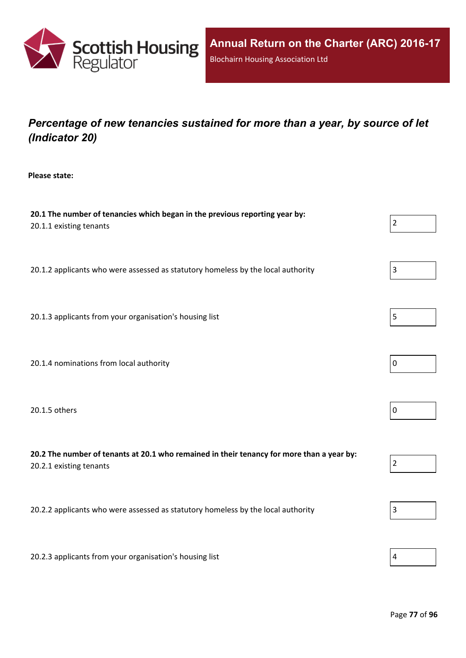

# *Percentage of new tenancies sustained for more than a year, by source of let (Indicator 20)*

**Please state:**

| 20.1 The number of tenancies which began in the previous reporting year by:<br>20.1.1 existing tenants               | $\overline{2}$ |
|----------------------------------------------------------------------------------------------------------------------|----------------|
| 20.1.2 applicants who were assessed as statutory homeless by the local authority                                     | $\mathbf{3}$   |
| 20.1.3 applicants from your organisation's housing list                                                              | 5              |
| 20.1.4 nominations from local authority                                                                              | $\mathbf 0$    |
| 20.1.5 others                                                                                                        | $\mathbf 0$    |
| 20.2 The number of tenants at 20.1 who remained in their tenancy for more than a year by:<br>20.2.1 existing tenants | $\overline{2}$ |
| 20.2.2 applicants who were assessed as statutory homeless by the local authority                                     | 3              |
| 20.2.3 applicants from your organisation's housing list                                                              | 4              |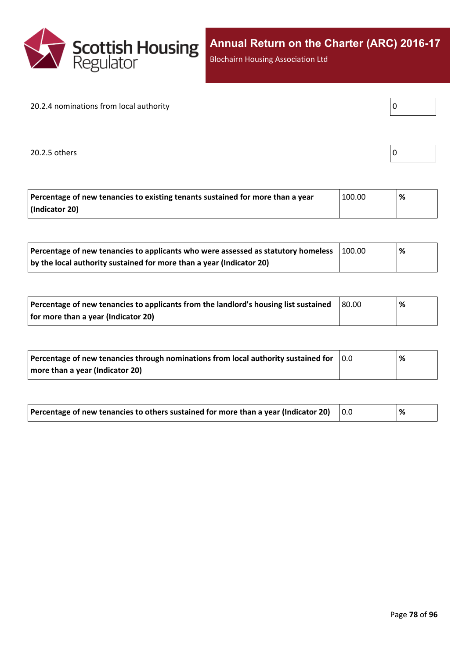

Blochairn Housing Association Ltd

#### 20.2.4 nominations from local authority

20.2.5 others

| Percentage of new tenancies to existing tenants sustained for more than a year | 100.00 | % |
|--------------------------------------------------------------------------------|--------|---|
| (Indicator 20)                                                                 |        |   |

| Percentage of new tenancies to applicants who were assessed as statutory homeless | 100.00 | '% |  |
|-----------------------------------------------------------------------------------|--------|----|--|
| by the local authority sustained for more than a year (Indicator 20)              |        |    |  |

| Percentage of new tenancies to applicants from the landlord's housing list sustained | 80.00 | % |
|--------------------------------------------------------------------------------------|-------|---|
| for more than a year (Indicator 20)                                                  |       |   |

| Percentage of new tenancies through nominations from local authority sustained for | $\overline{0.0}$ | % |
|------------------------------------------------------------------------------------|------------------|---|
| more than a year (Indicator 20)                                                    |                  |   |

| Percentage of new tenancies to others sustained for more than a year (Indicator 20) |  | % |
|-------------------------------------------------------------------------------------|--|---|
|-------------------------------------------------------------------------------------|--|---|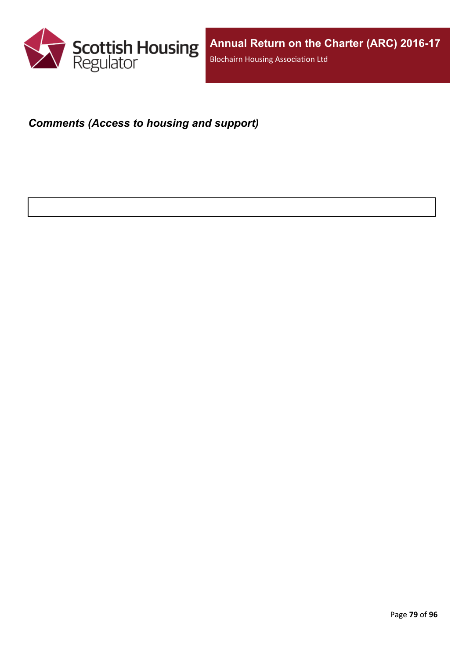

### *Comments (Access to housing and support)*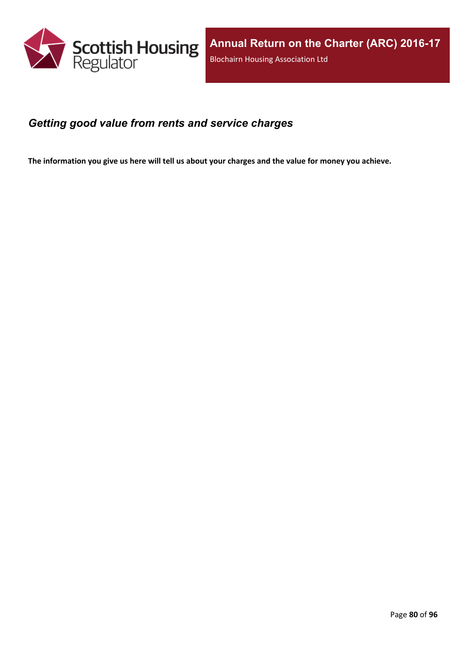

### *Getting good value from rents and service charges*

The information you give us here will tell us about your charges and the value for money you achieve.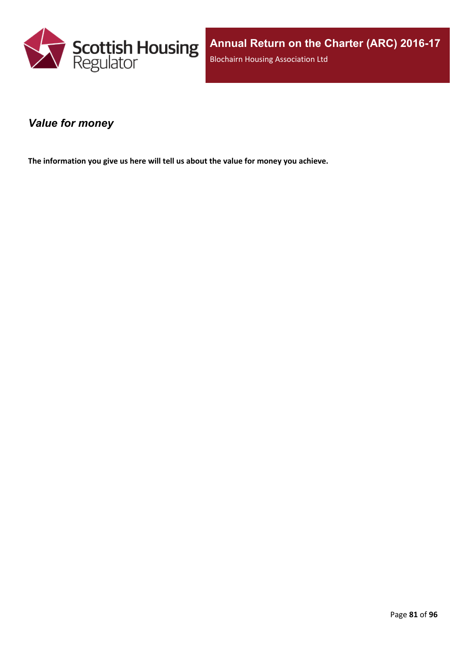

### *Value for money*

**The information you give us here will tell us about the value for money you achieve.**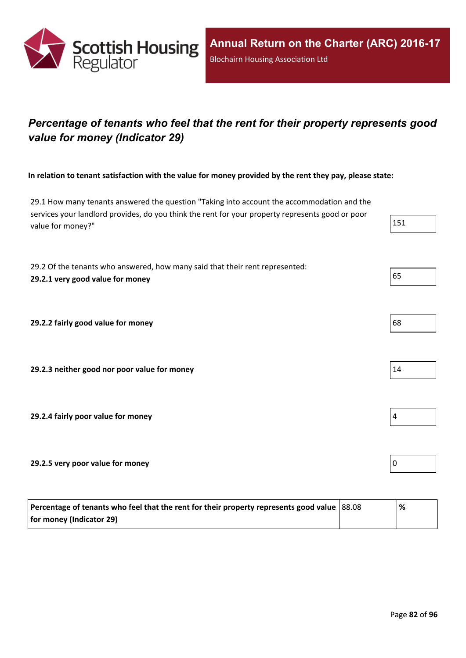

# *Percentage of tenants who feel that the rent for their property represents good value for money (Indicator 29)*

In relation to tenant satisfaction with the value for money provided by the rent they pay, please state:

29.1 How many tenants answered the question "Taking into account the accommodation and the services your landlord provides, do you think the rent for your property represents good or poor value for money?" 151

29.2 Of the tenants who answered, how many said that their rent represented: **29.2.1 very good value for money** 65

**29.2.2 fairly good value for money** 68

**29.2.3 neither good nor poor value for money** 14

**29.2.4 fairly poor value for money** 4

**29.2.5 very poor value for money** 0

| Percentage of tenants who feel that the rent for their property represents good value   88.08 | % |
|-----------------------------------------------------------------------------------------------|---|
| for money (Indicator 29)                                                                      |   |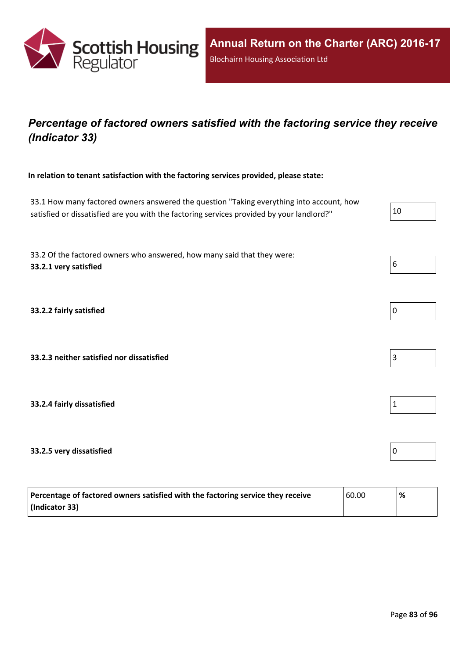

## *Percentage of factored owners satisfied with the factoring service they receive (Indicator 33)*

**In relation to tenant satisfaction with the factoring services provided, please state:**

33.1 How many factored owners answered the question "Taking everything into account, how satisfied or dissatisfied are you with the factoring services provided by your landlord?"

33.2 Of the factored owners who answered, how many said that they were: **33.2.1 very satisfied** 6

**33.2.2 fairly satisfied** 0

**33.2.3 neither satisfied nor dissatisfied** 3

**33.2.4 fairly dissatisfied** 1

### **33.2.5 very dissatisfied** 0

| Percentage of factored owners satisfied with the factoring service they receive | 60.00 | % |
|---------------------------------------------------------------------------------|-------|---|
| (Indicator 33)                                                                  |       |   |

| 11 |  |  |
|----|--|--|
|    |  |  |



| 0 |  |  |  |
|---|--|--|--|
|   |  |  |  |



|  | 1 |
|--|---|
|--|---|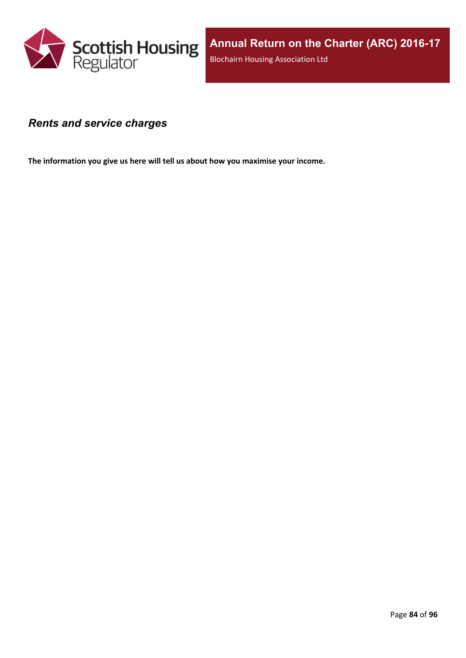

### *Rents and service charges*

**The information you give us here will tell us about how you maximise your income.**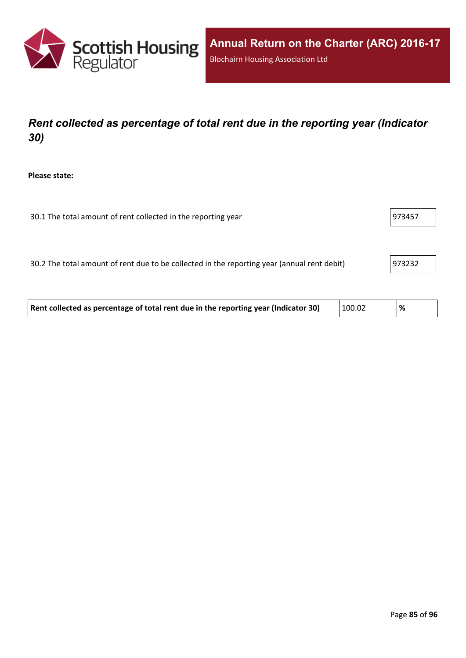

# *Rent collected as percentage of total rent due in the reporting year (Indicator 30)*

**Please state:**

| 30.1 The total amount of rent collected in the reporting year | 973457 |
|---------------------------------------------------------------|--------|
|                                                               |        |

30.2 The total amount of rent due to be collected in the reporting year (annual rent debit) 973232

| Rent collected as percentage of total rent due in the reporting year (Indicator 30) | 100.02 | % |  |
|-------------------------------------------------------------------------------------|--------|---|--|
|-------------------------------------------------------------------------------------|--------|---|--|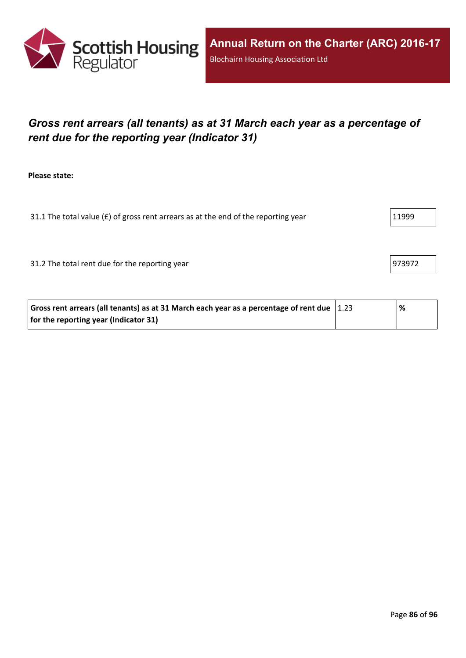

# *Gross rent arrears (all tenants) as at 31 March each year as a percentage of rent due for the reporting year (Indicator 31)*

**Please state:**

31.1 The total value ( $f$ ) of gross rent arrears as at the end of the reporting year  $11999$ 

31.2 The total rent due for the reporting year 973972

| Gross rent arrears (all tenants) as at 31 March each year as a percentage of rent due $ 1.23 $ | % |
|------------------------------------------------------------------------------------------------|---|
| for the reporting year (Indicator 31)                                                          |   |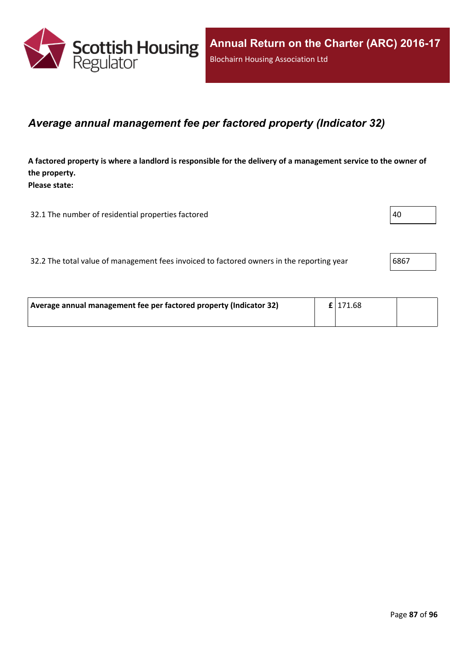

### *Average annual management fee per factored property (Indicator 32)*

A factored property is where a landlord is responsible for the delivery of a management service to the owner of **the property. Please state:**

32.1 The number of residential properties factored  $|40\rangle$ 

32.2 The total value of management fees invoiced to factored owners in the reporting year 6867

| Average annual management fee per factored property (Indicator 32) | $\mathbf{f}$   171.68 |  |
|--------------------------------------------------------------------|-----------------------|--|
|                                                                    |                       |  |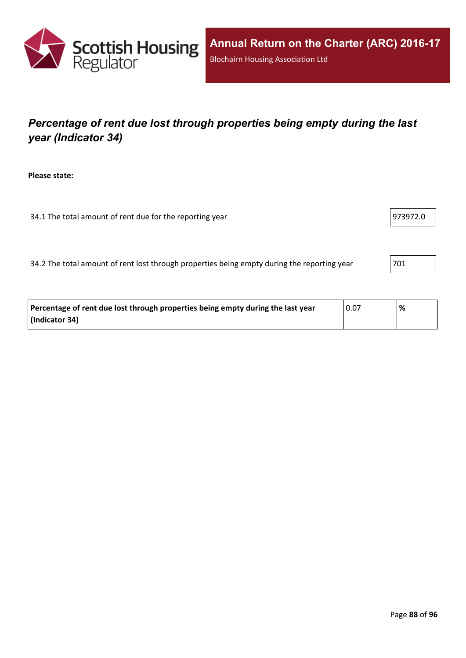

# *Percentage of rent due lost through properties being empty during the last year (Indicator 34)*

**Please state:**

34.1 The total amount of rent due for the reporting year 973972.0

34.2 The total amount of rent lost through properties being empty during the reporting year 701

| Percentage of rent due lost through properties being empty during the last year | 0.07 | % |
|---------------------------------------------------------------------------------|------|---|
| (Indicator 34)                                                                  |      |   |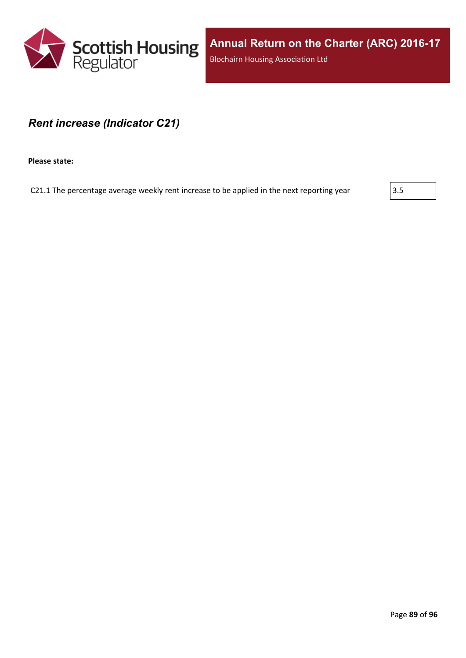

**Annual Return on the Charter (ARC) 2016-17** Blochairn Housing Association Ltd

### *Rent increase (Indicator C21)*

**Please state:**

C21.1 The percentage average weekly rent increase to be applied in the next reporting year  $\vert$ 3.5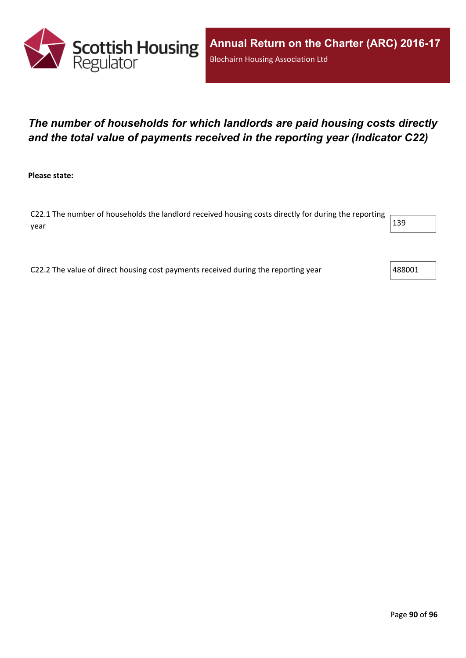

# *The number of households for which landlords are paid housing costs directly and the total value of payments received in the reporting year (Indicator C22)*

**Please state:**

C22.1 The number of households the landlord received housing costs directly for during the reporting year  $\vert$  139  $\vert$ 

C22.2 The value of direct housing cost payments received during the reporting year  $488001$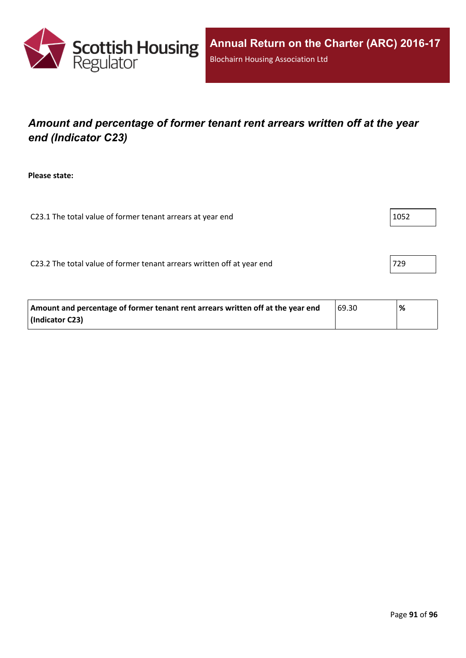

# *Amount and percentage of former tenant rent arrears written off at the year end (Indicator C23)*

**Please state:**

C23.1 The total value of former tenant arrears at year end  $|1052|$ 

C23.2 The total value of former tenant arrears written off at year end  $|729|$ 

| Amount and percentage of former tenant rent arrears written off at the year end | 69.30 | % |
|---------------------------------------------------------------------------------|-------|---|
| (Indicator C23)                                                                 |       |   |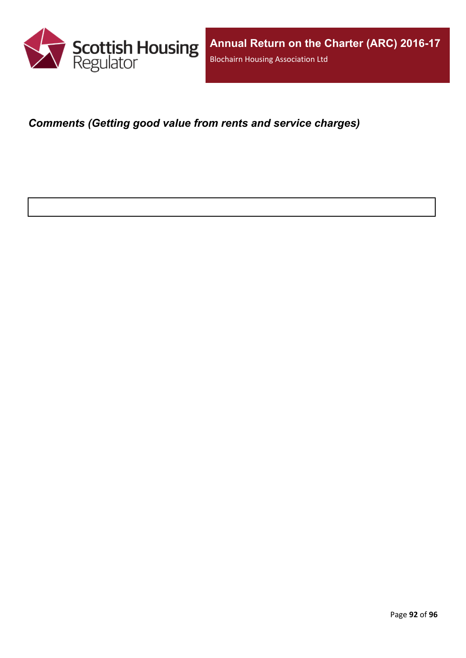

*Comments (Getting good value from rents and service charges)*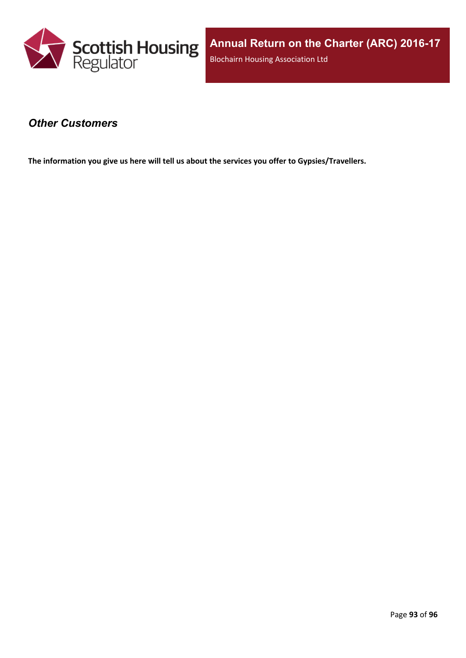

### *Other Customers*

**The information you give us here will tell us about the services you offer to Gypsies/Travellers.**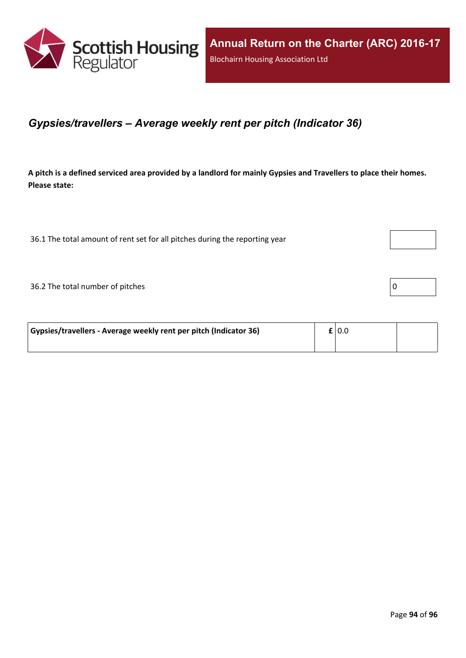

### *Gypsies/travellers – Average weekly rent per pitch (Indicator 36)*

A pitch is a defined serviced area provided by a landlord for mainly Gypsies and Travellers to place their homes. **Please state:**

36.1 The total amount of rent set for all pitches during the reporting year

 $36.2$  The total number of pitches  $\boxed{0}$ 

| Gypsies/travellers - Average weekly rent per pitch (Indicator 36) | $\mathbf{f}$   0.0 |  |
|-------------------------------------------------------------------|--------------------|--|
|                                                                   |                    |  |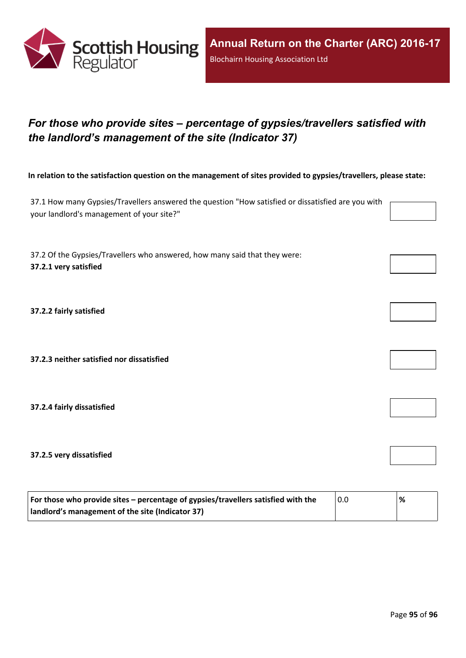

# *For those who provide sites – percentage of gypsies/travellers satisfied with the landlord's management of the site (Indicator 37)*

In relation to the satisfaction question on the management of sites provided to gypsies/travellers, please state:

37.1 How many Gypsies/Travellers answered the question "How satisfied or dissatisfied are you with your landlord's management of your site?"

37.2 Of the Gypsies/Travellers who answered, how many said that they were: **37.2.1 very satisfied**

**37.2.2 fairly satisfied**

**37.2.3 neither satisfied nor dissatisfied**

**37.2.4 fairly dissatisfied**

**37.2.5 very dissatisfied**

| For those who provide sites – percentage of gypsies/travellers satisfied with the | 0.0 | % |
|-----------------------------------------------------------------------------------|-----|---|
| I landlord's management of the site (Indicator 37)                                |     |   |